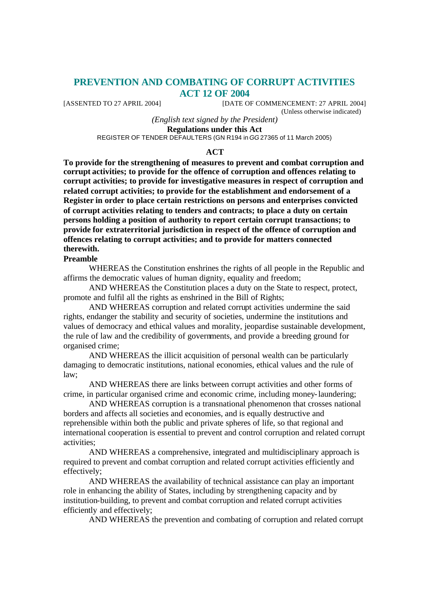# **PREVENTION AND COMBATING OF CORRUPT ACTIVITIES ACT 12 OF 2004**

[ASSENTED TO 27 APRIL 2004] [DATE OF COMMENCEMENT: 27 APRIL 2004] (Unless otherwise indicated)

> *(English text signed by the President)* **Regulations under this Act** REGISTER OF TENDER DEFAULTERS (GN R194 in *GG* 27365 of 11 March 2005)

### **ACT**

**To provide for the strengthening of measures to prevent and combat corruption and corrupt activities; to provide for the offence of corruption and offences relating to corrupt activities; to provide for investigative measures in respect of corruption and related corrupt activities; to provide for the establishment and endorsement of a Register in order to place certain restrictions on persons and enterprises convicted of corrupt activities relating to tenders and contracts; to place a duty on certain persons holding a position of authority to report certain corrupt transactions; to provide for extraterritorial jurisdiction in respect of the offence of corruption and offences relating to corrupt activities; and to provide for matters connected therewith.**

#### **Preamble**

WHEREAS the Constitution enshrines the rights of all people in the Republic and affirms the democratic values of human dignity, equality and freedom;

AND WHEREAS the Constitution places a duty on the State to respect, protect, promote and fulfil all the rights as enshrined in the Bill of Rights;

AND WHEREAS corruption and related corrupt activities undermine the said rights, endanger the stability and security of societies, undermine the institutions and values of democracy and ethical values and morality, jeopardise sustainable development, the rule of law and the credibility of governments, and provide a breeding ground for organised crime;

AND WHEREAS the illicit acquisition of personal wealth can be particularly damaging to democratic institutions, national economies, ethical values and the rule of law;

AND WHEREAS there are links between corrupt activities and other forms of crime, in particular organised crime and economic crime, including money-laundering;

AND WHEREAS corruption is a transnational phenomenon that crosses national borders and affects all societies and economies, and is equally destructive and reprehensible within both the public and private spheres of life, so that regional and international cooperation is essential to prevent and control corruption and related corrupt activities;

AND WHEREAS a comprehensive, integrated and multidisciplinary approach is required to prevent and combat corruption and related corrupt activities efficiently and effectively;

AND WHEREAS the availability of technical assistance can play an important role in enhancing the ability of States, including by strengthening capacity and by institution-building, to prevent and combat corruption and related corrupt activities efficiently and effectively;

AND WHEREAS the prevention and combating of corruption and related corrupt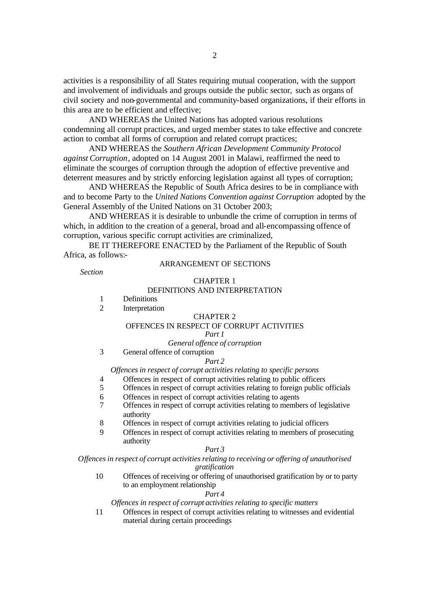activities is a responsibility of all States requiring mutual cooperation, with the support and involvement of individuals and groups outside the public sector, such as organs of civil society and non-governmental and community-based organizations, if their efforts in this area are to be efficient and effective;

AND WHEREAS the United Nations has adopted various resolutions condemning all corrupt practices, and urged member states to take effective and concrete action to combat all forms of corruption and related corrupt practices;

AND WHEREAS the *Southern African Development Community Protocol against Corruption*, adopted on 14 August 2001 in Malawi, reaffirmed the need to eliminate the scourges of corruption through the adoption of effective preventive and deterrent measures and by strictly enforcing legislation against all types of corruption;

AND WHEREAS the Republic of South Africa desires to be in compliance with and to become Party to the *United Nations Convention against Corruption* adopted by the General Assembly of the United Nations on 31 October 2003;

AND WHEREAS it is desirable to unbundle the crime of corruption in terms of which, in addition to the creation of a general, broad and all-encompassing offence of corruption, various specific corrupt activities are criminalized,

BE IT THEREFORE ENACTED by the Parliament of the Republic of South Africa, as follows:-

*Section*

#### ARRANGEMENT OF SECTIONS

### CHAPTER 1

#### DEFINITIONS AND INTERPRETATION

- 1 Definitions
- 2 Interpretation

#### CHAPTER 2

#### OFFENCES IN RESPECT OF CORRUPT ACTIVITIES

#### *Part 1*

- *General offence of corruption*
- 3 General offence of corruption

#### *Part 2*

#### *Offences in respect of corrupt activities relating to specific persons*

- 4 Offences in respect of corrupt activities relating to public officers
- 5 Offences in respect of corrupt activities relating to foreign public officials
- 6 Offences in respect of corrupt activities relating to agents<br>7 Offences in respect of corrupt activities relating to membe
- 7 Offences in respect of corrupt activities relating to members of legislative authority
- 8 Offences in respect of corrupt activities relating to judicial officers
- 9 Offences in respect of corrupt activities relating to members of prosecuting authority

#### *Part 3*

*Offences in respect of corrupt activities relating to receiving or offering of unauthorised gratification*

10 Offences of receiving or offering of unauthorised gratification by or to party to an employment relationship

#### *Part 4*

*Offences in respect of corrupt activities relating to specific matters*

11 Offences in respect of corrupt activities relating to witnesses and evidential material during certain proceedings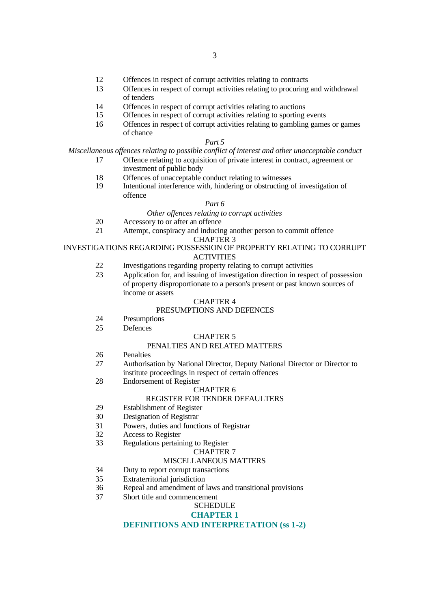- 12 Offences in respect of corrupt activities relating to contracts
- 13 Offences in respect of corrupt activities relating to procuring and withdrawal of tenders
- 14 Offences in respect of corrupt activities relating to auctions
- 15 Offences in respect of corrupt activities relating to sporting events
- 16 Offences in respec t of corrupt activities relating to gambling games or games of chance

### *Part 5*

*Miscellaneous offences relating to possible conflict of interest and other unacceptable conduct*

- 17 Offence relating to acquisition of private interest in contract, agreement or investment of public body
	- 18 Offences of unacceptable conduct relating to witnesses<br>19 Intentional interference with, hindering or obstructing of
	- Intentional interference with, hindering or obstructing of investigation of offence

#### *Part 6*

#### *Other offences relating to corrupt activities*

- 20 Accessory to or after an offence
- 21 Attempt, conspiracy and inducing another person to commit offence

### CHAPTER 3

#### INVESTIGATIONS REGARDING POSSESSION OF PROPERTY RELATING TO CORRUPT ACTIVITIES

- 22 Investigations regarding property relating to corrupt activities
- 23 Application for, and issuing of investigation direction in respect of possession of property disproportionate to a person's present or past known sources of income or assets

#### CHAPTER 4

### PRESUMPTIONS AND DEFENCES

- 24 Presumptions
- 25 Defences

### CHAPTER 5

### PENALTIES AND RELATED MATTERS

- 26 Penalties
- 27 Authorisation by National Director, Deputy National Director or Director to institute proceedings in respect of certain offences
- 28 Endorsement of Register

#### CHAPTER 6

#### REGISTER FOR TENDER DEFAULTERS

- 29 Establishment of Register
- 30 Designation of Registrar
- 31 Powers, duties and functions of Registrar
- 32 Access to Register
- 33 Regulations pertaining to Register

#### CHAPTER 7

#### MISCELLANEOUS MATTERS

- 34 Duty to report corrupt transactions
- 35 Extraterritorial jurisdiction
- 36 Repeal and amendment of laws and transitional provisions
- 37 Short title and commencement

#### **SCHEDULE**

### **CHAPTER 1**

#### **DEFINITIONS AND INTERPRETATION (ss 1-2)**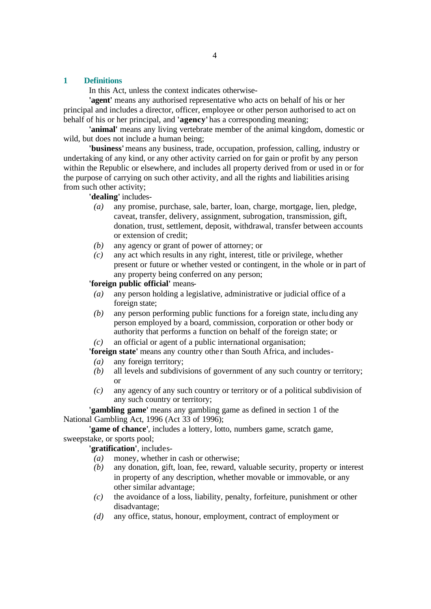#### **1 Definitions**

In this Act, unless the context indicates otherwise-

**'agent'** means any authorised representative who acts on behalf of his or her principal and includes a director, officer, employee or other person authorised to act on behalf of his or her principal, and **'agency'** has a corresponding meaning;

**'animal'** means any living vertebrate member of the animal kingdom, domestic or wild, but does not include a human being;

**'business'** means any business, trade, occupation, profession, calling, industry or undertaking of any kind, or any other activity carried on for gain or profit by any person within the Republic or elsewhere, and includes all property derived from or used in or for the purpose of carrying on such other activity, and all the rights and liabilities arising from such other activity;

**'dealing'** includes-

- *(a)* any promise, purchase, sale, barter, loan, charge, mortgage, lien, pledge, caveat, transfer, delivery, assignment, subrogation, transmission, gift, donation, trust, settlement, deposit, withdrawal, transfer between accounts or extension of credit;
- *(b)* any agency or grant of power of attorney; or
- *(c)* any act which results in any right, interest, title or privilege, whether present or future or whether vested or contingent, in the whole or in part of any property being conferred on any person;

**'foreign public official'** means-

- *(a)* any person holding a legislative, administrative or judicial office of a foreign state;
- *(b)* any person performing public functions for a foreign state, including any person employed by a board, commission, corporation or other body or authority that performs a function on behalf of the foreign state; or

*(c)* an official or agent of a public international organisation;

- **'foreign state'** means any country othe r than South Africa, and includes-
- *(a)* any foreign territory;
- *(b)* all levels and subdivisions of government of any such country or territory; or
- *(c)* any agency of any such country or territory or of a political subdivision of any such country or territory;

**'gambling game'** means any gambling game as defined in section 1 of the National Gambling Act, 1996 (Act 33 of 1996);

**'game of chance'**, includes a lottery, lotto, numbers game, scratch game,

sweepstake, or sports pool;

**'gratification'**, includes-

- *(a)* money, whether in cash or otherwise;
- *(b)* any donation, gift, loan, fee, reward, valuable security, property or interest in property of any description, whether movable or immovable, or any other similar advantage;
- *(c)* the avoidance of a loss, liability, penalty, forfeiture, punishment or other disadvantage;
- *(d)* any office, status, honour, employment, contract of employment or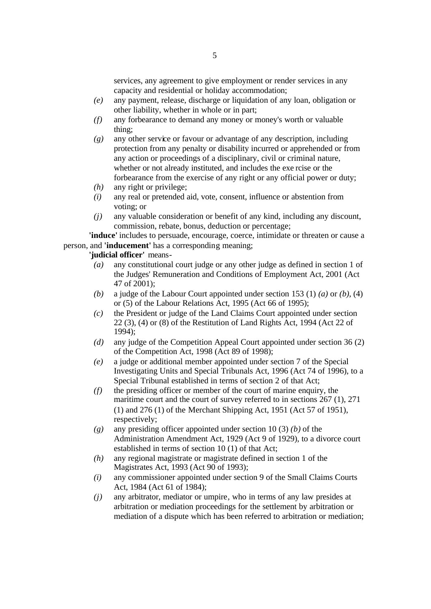services, any agreement to give employment or render services in any capacity and residential or holiday accommodation;

- *(e)* any payment, release, discharge or liquidation of any loan, obligation or other liability, whether in whole or in part;
- *(f)* any forbearance to demand any money or money's worth or valuable thing;
- *(g)* any other service or favour or advantage of any description, including protection from any penalty or disability incurred or apprehended or from any action or proceedings of a disciplinary, civil or criminal nature, whether or not already instituted, and includes the exe rcise or the forbearance from the exercise of any right or any official power or duty;
- *(h)* any right or privilege;
- *(i)* any real or pretended aid, vote, consent, influence or abstention from voting; or
- *(j)* any valuable consideration or benefit of any kind, including any discount, commission, rebate, bonus, deduction or percentage;

**'induce'** includes to persuade, encourage, coerce, intimidate or threaten or cause a person, and **'inducement'** has a corresponding meaning;

#### **'judicial officer'** means-

- *(a)* any constitutional court judge or any other judge as defined in section 1 of the Judges' Remuneration and Conditions of Employment Act, 2001 (Act 47 of 2001);
- *(b)* a judge of the Labour Court appointed under section 153 (1) *(a)* or *(b)*, (4) or (5) of the Labour Relations Act, 1995 (Act 66 of 1995);
- *(c)* the President or judge of the Land Claims Court appointed under section 22 (3), (4) or (8) of the Restitution of Land Rights Act, 1994 (Act 22 of 1994);
- *(d)* any judge of the Competition Appeal Court appointed under section 36 (2) of the Competition Act, 1998 (Act 89 of 1998);
- *(e)* a judge or additional member appointed under section 7 of the Special Investigating Units and Special Tribunals Act, 1996 (Act 74 of 1996), to a Special Tribunal established in terms of section 2 of that Act;
- *(f)* the presiding officer or member of the court of marine enquiry, the maritime court and the court of survey referred to in sections 267 (1), 271 (1) and 276 (1) of the Merchant Shipping Act, 1951 (Act 57 of 1951), respectively;
- *(g)* any presiding officer appointed under section 10 (3) *(b)* of the Administration Amendment Act, 1929 (Act 9 of 1929), to a divorce court established in terms of section 10 (1) of that Act;
- *(h)* any regional magistrate or magistrate defined in section 1 of the Magistrates Act, 1993 (Act 90 of 1993);
- *(i)* any commissioner appointed under section 9 of the Small Claims Courts Act, 1984 (Act 61 of 1984);
- *(j)* any arbitrator, mediator or umpire, who in terms of any law presides at arbitration or mediation proceedings for the settlement by arbitration or mediation of a dispute which has been referred to arbitration or mediation;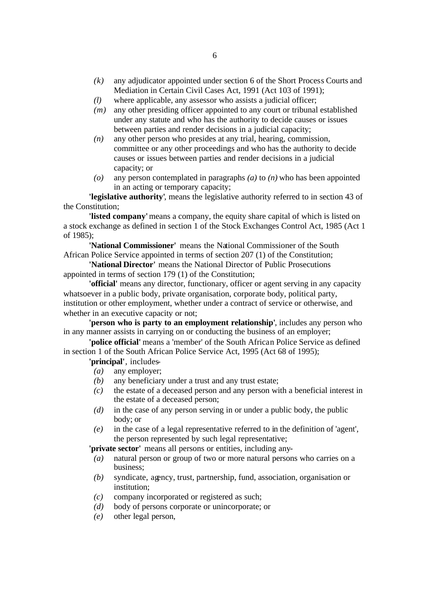- *(k)* any adjudicator appointed under section 6 of the Short Process Courts and Mediation in Certain Civil Cases Act, 1991 (Act 103 of 1991);
- *(l)* where applicable, any assessor who assists a judicial officer;
- *(m)* any other presiding officer appointed to any court or tribunal established under any statute and who has the authority to decide causes or issues between parties and render decisions in a judicial capacity;
- *(n)* any other person who presides at any trial, hearing, commission, committee or any other proceedings and who has the authority to decide causes or issues between parties and render decisions in a judicial capacity; or
- *(o)* any person contemplated in paragraphs *(a)* to *(n)* who has been appointed in an acting or temporary capacity;

**'legislative authority'**, means the legislative authority referred to in section 43 of the Constitution;

**'listed company'** means a company, the equity share capital of which is listed on a stock exchange as defined in section 1 of the Stock Exchanges Control Act, 1985 (Act 1 of 1985);

**'National Commissioner'** means the National Commissioner of the South African Police Service appointed in terms of section 207 (1) of the Constitution;

**'National Director'** means the National Director of Public Prosecutions appointed in terms of section 179 (1) of the Constitution;

**'official'** means any director, functionary, officer or agent serving in any capacity whatsoever in a public body, private organisation, corporate body, political party, institution or other employment, whether under a contract of service or otherwise, and whether in an executive capacity or not;

**'person who is party to an employment relationship'**, includes any person who in any manner assists in carrying on or conducting the business of an employer;

**'police official'** means a 'member' of the South African Police Service as defined in section 1 of the South African Police Service Act, 1995 (Act 68 of 1995);

**'principal'**, includes-

- *(a)* any employer;
- *(b)* any beneficiary under a trust and any trust estate;
- *(c)* the estate of a deceased person and any person with a beneficial interest in the estate of a deceased person;
- *(d)* in the case of any person serving in or under a public body, the public body; or
- *(e)* in the case of a legal representative referred to in the definition of 'agent', the person represented by such legal representative;

**'private sector'** means all persons or entities, including any-

- *(a)* natural person or group of two or more natural persons who carries on a business;
- *(b)* syndicate, agency, trust, partnership, fund, association, organisation or institution;
- *(c)* company incorporated or registered as such;
- *(d)* body of persons corporate or unincorporate; or
- *(e)* other legal person,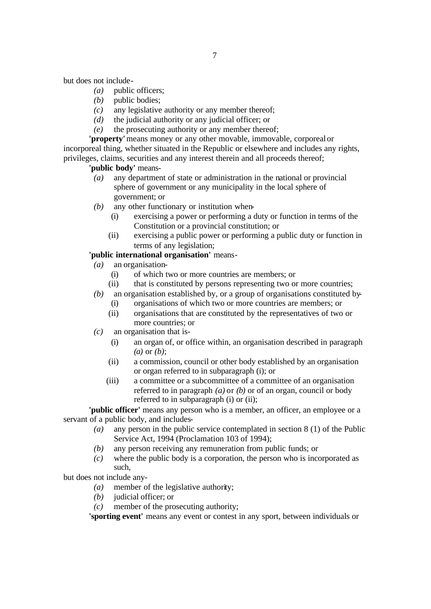but does not include-

- *(a)* public officers;
- *(b)* public bodies;
- *(c)* any legislative authority or any member thereof;
- *(d)* the judicial authority or any judicial officer; or
- *(e)* the prosecuting authority or any member thereof;

**'property'** means money or any other movable, immovable, corporeal or incorporeal thing, whether situated in the Republic or elsewhere and includes any rights, privileges, claims, securities and any interest therein and all proceeds thereof;

**'public body'** means-

- *(a)* any department of state or administration in the national or provincial sphere of government or any municipality in the local sphere of government; or
- *(b)* any other functionary or institution when-
	- (i) exercising a power or performing a duty or function in terms of the Constitution or a provincial constitution; or
	- (ii) exercising a public power or performing a public duty or function in terms of any legislation;

## **'public international organisation'** means-

- *(a)* an organisation-
	- (i) of which two or more countries are members; or
	- (ii) that is constituted by persons representing two or more countries;
- *(b)* an organisation established by, or a group of organisations constituted by-
	- (i) organisations of which two or more countries are members; or
	- (ii) organisations that are constituted by the representatives of two or more countries; or
- *(c)* an organisation that is-
	- (i) an organ of, or office within, an organisation described in paragraph *(a)* or *(b)*;
	- (ii) a commission, council or other body established by an organisation or organ referred to in subparagraph (i); or
	- (iii) a committee or a subcommittee of a committee of an organisation referred to in paragraph *(a)* or *(b)* or of an organ, council or body referred to in subparagraph (i) or (ii);

**'public officer'** means any person who is a member, an officer, an employee or a servant of a public body, and includes-

- *(a)* any person in the public service contemplated in section 8 (1) of the Public Service Act, 1994 (Proclamation 103 of 1994);
- *(b)* any person receiving any remuneration from public funds; or
- *(c)* where the public body is a corporation, the person who is incorporated as such,

but does not include any-

- *(a)* member of the legislative authority;
- *(b)* judicial officer; or
- *(c)* member of the prosecuting authority;

**'sporting event'** means any event or contest in any sport, between individuals or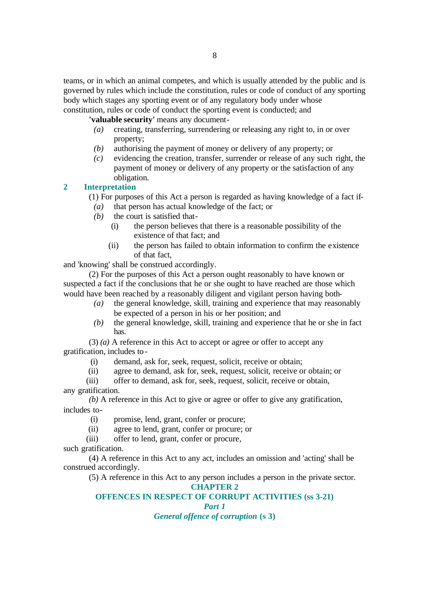teams, or in which an animal competes, and which is usually attended by the public and is governed by rules which include the constitution, rules or code of conduct of any sporting body which stages any sporting event or of any regulatory body under whose constitution, rules or code of conduct the sporting event is conducted; and

**'valuable security'** means any document-

- *(a)* creating, transferring, surrendering or releasing any right to, in or over property;
- *(b)* authorising the payment of money or delivery of any property; or
- *(c)* evidencing the creation, transfer, surrender or release of any such right, the payment of money or delivery of any property or the satisfaction of any obligation.

### **2 Interpretation**

- (1) For purposes of this Act a person is regarded as having knowledge of a fact if-
	- *(a)* that person has actual knowledge of the fact; or
	- *(b)* the court is satisfied that-
		- (i) the person believes that there is a reasonable possibility of the existence of that fact; and
		- (ii) the person has failed to obtain information to confirm the existence of that fact,

and 'knowing' shall be construed accordingly.

(2) For the purposes of this Act a person ought reasonably to have known or suspected a fact if the conclusions that he or she ought to have reached are those which would have been reached by a reasonably diligent and vigilant person having both-

- *(a)* the general knowledge, skill, training and experience that may reasonably be expected of a person in his or her position; and
- *(b)* the general knowledge, skill, training and experience that he or she in fact has.

(3) *(a)* A reference in this Act to accept or agree or offer to accept any gratification, includes to-

- (i) demand, ask for, seek, request, solicit, receive or obtain;
- (ii) agree to demand, ask for, seek, request, solicit, receive or obtain; or
- (iii) offer to demand, ask for, seek, request, solicit, receive or obtain,

any gratification.

*(b)* A reference in this Act to give or agree or offer to give any gratification, includes to-

- (i) promise, lend, grant, confer or procure;
- (ii) agree to lend, grant, confer or procure; or
- (iii) offer to lend, grant, confer or procure,

such gratification.

(4) A reference in this Act to any act, includes an omission and 'acting' shall be construed accordingly.

(5) A reference in this Act to any person includes a person in the private sector.

**CHAPTER 2**

## **OFFENCES IN RESPECT OF CORRUPT ACTIVITIES (ss 3-21)**

### *Part 1*

*General offence of corruption* **(s 3)**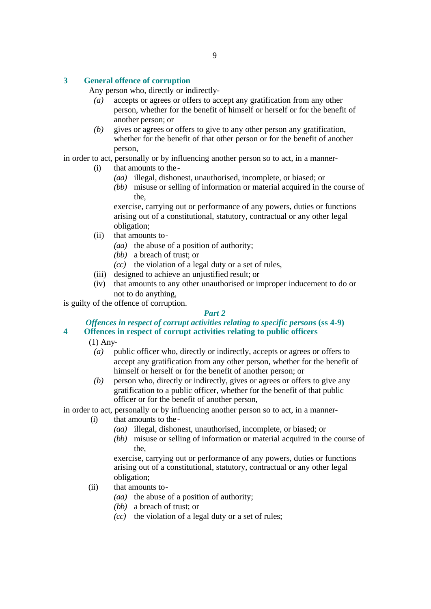#### **3 General offence of corruption**

Any person who, directly or indirectly-

- *(a)* accepts or agrees or offers to accept any gratification from any other person, whether for the benefit of himself or herself or for the benefit of another person; or
- *(b)* gives or agrees or offers to give to any other person any gratification, whether for the benefit of that other person or for the benefit of another person,

in order to act, personally or by influencing another person so to act, in a manner-

- (i) that amounts to the
	- *(aa)* illegal, dishonest, unauthorised, incomplete, or biased; or
	- *(bb)* misuse or selling of information or material acquired in the course of the,

exercise, carrying out or performance of any powers, duties or functions arising out of a constitutional, statutory, contractual or any other legal obligation;

- (ii) that amounts to-
	- *(aa)* the abuse of a position of authority;
	- *(bb)* a breach of trust; or
	- *(cc)* the violation of a legal duty or a set of rules,
- (iii) designed to achieve an unjustified result; or
- (iv) that amounts to any other unauthorised or improper inducement to do or not to do anything,

is guilty of the offence of corruption.

#### *Part 2*

### *Offences in respect of corrupt activities relating to specific persons (ss 4-9)* **4 Offences in respect of corrupt activities relating to public officers**

(1) Any-

- *(a)* public officer who, directly or indirectly, accepts or agrees or offers to accept any gratification from any other person, whether for the benefit of himself or herself or for the benefit of another person; or
- *(b)* person who, directly or indirectly, gives or agrees or offers to give any gratification to a public officer, whether for the benefit of that public officer or for the benefit of another person,

in order to act, personally or by influencing another person so to act, in a manner-

- (i) that amounts to the
	- *(aa)* illegal, dishonest, unauthorised, incomplete, or biased; or
	- *(bb)* misuse or selling of information or material acquired in the course of the,

exercise, carrying out or performance of any powers, duties or functions arising out of a constitutional, statutory, contractual or any other legal obligation;

- (ii) that amounts to-
	- *(aa)* the abuse of a position of authority;
	- *(bb)* a breach of trust; or
	- *(cc)* the violation of a legal duty or a set of rules;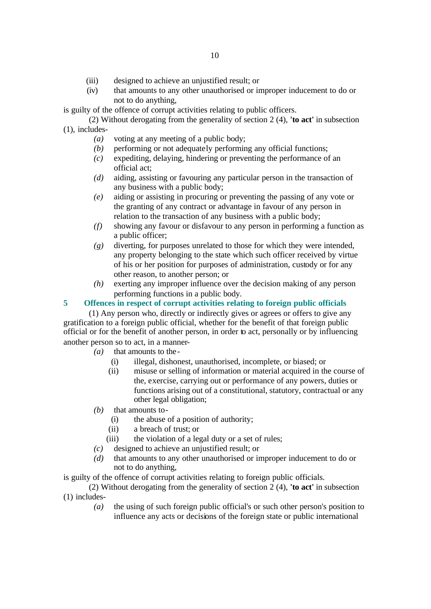- (iii) designed to achieve an unjustified result; or
- (iv) that amounts to any other unauthorised or improper inducement to do or not to do anything,

is guilty of the offence of corrupt activities relating to public officers.

(2) Without derogating from the generality of section 2 (4), **'to act'** in subsection (1), includes-

- *(a)* voting at any meeting of a public body;
- *(b)* performing or not adequately performing any official functions;
- *(c)* expediting, delaying, hindering or preventing the performance of an official act;
- *(d)* aiding, assisting or favouring any particular person in the transaction of any business with a public body;
- *(e)* aiding or assisting in procuring or preventing the passing of any vote or the granting of any contract or advantage in favour of any person in relation to the transaction of any business with a public body;
- *(f)* showing any favour or disfavour to any person in performing a function as a public officer;
- *(g)* diverting, for purposes unrelated to those for which they were intended, any property belonging to the state which such officer received by virtue of his or her position for purposes of administration, custody or for any other reason, to another person; or
- *(h)* exerting any improper influence over the decision making of any person performing functions in a public body.

### **5 Offences in respect of corrupt activities relating to foreign public officials**

(1) Any person who, directly or indirectly gives or agrees or offers to give any gratification to a foreign public official, whether for the benefit of that foreign public official or for the benefit of another person, in order to act, personally or by influencing another person so to act, in a manner-

- *(a)* that amounts to the
	- (i) illegal, dishonest, unauthorised, incomplete, or biased; or
	- (ii) misuse or selling of information or material acquired in the course of the, exercise, carrying out or performance of any powers, duties or functions arising out of a constitutional, statutory, contractual or any other legal obligation;
- *(b)* that amounts to-
	- (i) the abuse of a position of authority;
	- (ii) a breach of trust; or
	- (iii) the violation of a legal duty or a set of rules;
- *(c)* designed to achieve an unjustified result; or
- *(d)* that amounts to any other unauthorised or improper inducement to do or not to do anything,

is guilty of the offence of corrupt activities relating to foreign public officials.

(2) Without derogating from the generality of section 2 (4), **'to act'** in subsection (1) includes-

*(a)* the using of such foreign public official's or such other person's position to influence any acts or decisions of the foreign state or public international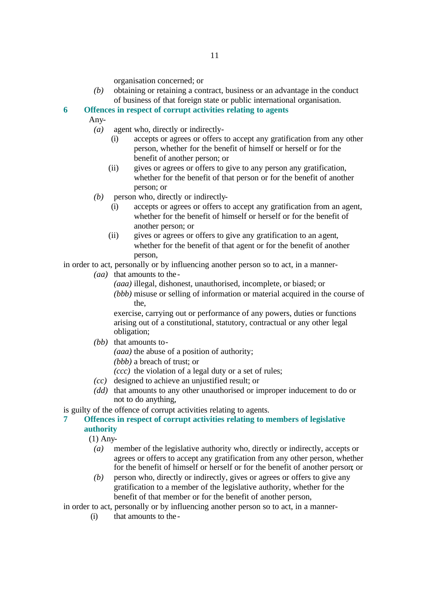organisation concerned; or

*(b)* obtaining or retaining a contract, business or an advantage in the conduct of business of that foreign state or public international organisation.

### **6 Offences in respect of corrupt activities relating to agents**

Any-

- *(a)* agent who, directly or indirectly-
	- (i) accepts or agrees or offers to accept any gratification from any other person, whether for the benefit of himself or herself or for the benefit of another person; or
	- (ii) gives or agrees or offers to give to any person any gratification, whether for the benefit of that person or for the benefit of another person; or
- *(b)* person who, directly or indirectly-
	- (i) accepts or agrees or offers to accept any gratification from an agent, whether for the benefit of himself or herself or for the benefit of another person; or
	- (ii) gives or agrees or offers to give any gratification to an agent, whether for the benefit of that agent or for the benefit of another person,

in order to act, personally or by influencing another person so to act, in a manner-

- *(aa)* that amounts to the
	- *(aaa)* illegal, dishonest, unauthorised, incomplete, or biased; or
	- *(bbb)* misuse or selling of information or material acquired in the course of the,

exercise, carrying out or performance of any powers, duties or functions arising out of a constitutional, statutory, contractual or any other legal obligation;

*(bb)* that amounts to-

*(aaa)* the abuse of a position of authority;

- *(bbb)* a breach of trust; or
- *(ccc)* the violation of a legal duty or a set of rules;
- *(cc)* designed to achieve an unjustified result; or
- *(dd)* that amounts to any other unauthorised or improper inducement to do or not to do anything,

is guilty of the offence of corrupt activities relating to agents.

## **7 Offences in respect of corrupt activities relating to members of legislative authority**

(1) Any-

- *(a)* member of the legislative authority who, directly or indirectly, accepts or agrees or offers to accept any gratification from any other person, whether for the benefit of himself or herself or for the benefit of another person; or
- *(b)* person who, directly or indirectly, gives or agrees or offers to give any gratification to a member of the legislative authority, whether for the benefit of that member or for the benefit of another person,

in order to act, personally or by influencing another person so to act, in a manner-

(i) that amounts to the -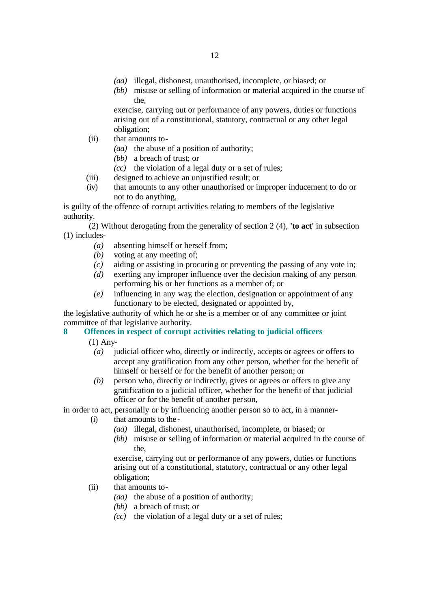- *(aa)* illegal, dishonest, unauthorised, incomplete, or biased; or
- *(bb)* misuse or selling of information or material acquired in the course of the,

exercise, carrying out or performance of any powers, duties or functions arising out of a constitutional, statutory, contractual or any other legal obligation;

- (ii) that amounts to-
	- *(aa)* the abuse of a position of authority;
	- *(bb)* a breach of trust; or
	- *(cc)* the violation of a legal duty or a set of rules;
- (iii) designed to achieve an unjustified result; or
- (iv) that amounts to any other unauthorised or improper inducement to do or not to do anything,

is guilty of the offence of corrupt activities relating to members of the legislative authority.

(2) Without derogating from the generality of section 2 (4), **'to act'** in subsection (1) includes-

- *(a)* absenting himself or herself from;
- *(b)* voting at any meeting of;
- *(c)* aiding or assisting in procuring or preventing the passing of any vote in;
- *(d)* exerting any improper influence over the decision making of any person performing his or her functions as a member of; or
- *(e)* influencing in any way, the election, designation or appointment of any functionary to be elected, designated or appointed by,

the legislative authority of which he or she is a member or of any committee or joint committee of that legislative authority.

## **8 Offences in respect of corrupt activities relating to judicial officers**

(1) Any-

- *(a)* judicial officer who, directly or indirectly, accepts or agrees or offers to accept any gratification from any other person, whether for the benefit of himself or herself or for the benefit of another person; or
- *(b)* person who, directly or indirectly, gives or agrees or offers to give any gratification to a judicial officer, whether for the benefit of that judicial officer or for the benefit of another person,

in order to act, personally or by influencing another person so to act, in a manner-

- (i) that amounts to the
	- *(aa)* illegal, dishonest, unauthorised, incomplete, or biased; or
	- *(bb)* misuse or selling of information or material acquired in the course of the,

exercise, carrying out or performance of any powers, duties or functions arising out of a constitutional, statutory, contractual or any other legal obligation;

- (ii) that amounts to-
	- *(aa)* the abuse of a position of authority;
	- *(bb)* a breach of trust; or
	- *(cc)* the violation of a legal duty or a set of rules;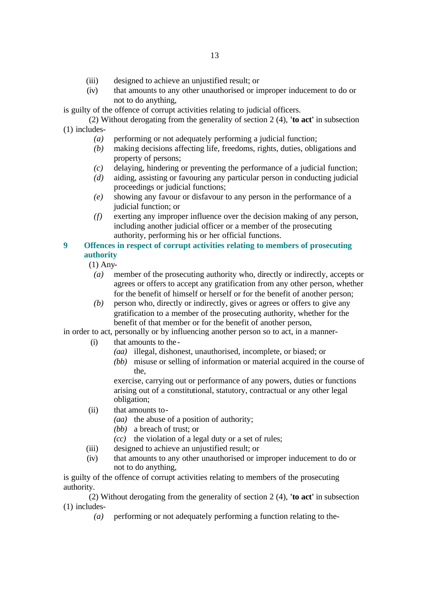- (iii) designed to achieve an unjustified result; or
- (iv) that amounts to any other unauthorised or improper inducement to do or not to do anything,

is guilty of the offence of corrupt activities relating to judicial officers.

(2) Without derogating from the generality of section 2 (4), **'to act'** in subsection (1) includes-

- *(a)* performing or not adequately performing a judicial function;
- *(b)* making decisions affecting life, freedoms, rights, duties, obligations and property of persons;
- *(c)* delaying, hindering or preventing the performance of a judicial function;
- *(d)* aiding, assisting or favouring any particular person in conducting judicial proceedings or judicial functions;
- *(e)* showing any favour or disfavour to any person in the performance of a judicial function; or
- *(f)* exerting any improper influence over the decision making of any person, including another judicial officer or a member of the prosecuting authority, performing his or her official functions.

## **9 Offences in respect of corrupt activities relating to members of prosecuting authority**

(1) Any-

- *(a)* member of the prosecuting authority who, directly or indirectly, accepts or agrees or offers to accept any gratification from any other person, whether for the benefit of himself or herself or for the benefit of another person;
- *(b)* person who, directly or indirectly, gives or agrees or offers to give any gratification to a member of the prosecuting authority, whether for the benefit of that member or for the benefit of another person,

in order to act, personally or by influencing another person so to act, in a manner-

- (i) that amounts to the
	- *(aa)* illegal, dishonest, unauthorised, incomplete, or biased; or
	- *(bb)* misuse or selling of information or material acquired in the course of the,

exercise, carrying out or performance of any powers, duties or functions arising out of a constitutional, statutory, contractual or any other legal obligation;

- (ii) that amounts to-
	- *(aa)* the abuse of a position of authority;
	- *(bb)* a breach of trust; or
	- *(cc)* the violation of a legal duty or a set of rules;
- (iii) designed to achieve an unjustified result; or
- (iv) that amounts to any other unauthorised or improper inducement to do or not to do anything,

is guilty of the offence of corrupt activities relating to members of the prosecuting authority.

(2) Without derogating from the generality of section 2 (4), **'to act'** in subsection (1) includes-

*(a)* performing or not adequately performing a function relating to the-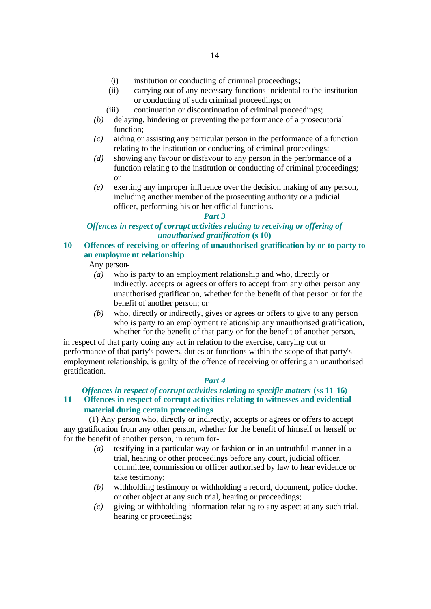- (i) institution or conducting of criminal proceedings;
- (ii) carrying out of any necessary functions incidental to the institution or conducting of such criminal proceedings; or
- (iii) continuation or discontinuation of criminal proceedings;
- *(b)* delaying, hindering or preventing the performance of a prosecutorial function;
- *(c)* aiding or assisting any particular person in the performance of a function relating to the institution or conducting of criminal proceedings;
- *(d)* showing any favour or disfavour to any person in the performance of a function relating to the institution or conducting of criminal proceedings; or
- *(e)* exerting any improper influence over the decision making of any person, including another member of the prosecuting authority or a judicial officer, performing his or her official functions.

## *Part 3*

## *Offences in respect of corrupt activities relating to receiving or offering of unauthorised gratification* **(s 10)**

## **10 Offences of receiving or offering of unauthorised gratification by or to party to an employme nt relationship**

## Any person-

- *(a)* who is party to an employment relationship and who, directly or indirectly, accepts or agrees or offers to accept from any other person any unauthorised gratification, whether for the benefit of that person or for the benefit of another person; or
- *(b)* who, directly or indirectly, gives or agrees or offers to give to any person who is party to an employment relationship any unauthorised gratification, whether for the benefit of that party or for the benefit of another person,

in respect of that party doing any act in relation to the exercise, carrying out or performance of that party's powers, duties or functions within the scope of that party's employment relationship, is guilty of the offence of receiving or offering an unauthorised gratification.

### *Part 4*

## *Offences in respect of corrupt activities relating to specific matters (ss 11-16)* **11 Offences in respect of corrupt activities relating to witnesses and evidential material during certain proceedings**

(1) Any person who, directly or indirectly, accepts or agrees or offers to accept any gratification from any other person, whether for the benefit of himself or herself or for the benefit of another person, in return for-

- *(a)* testifying in a particular way or fashion or in an untruthful manner in a trial, hearing or other proceedings before any court, judicial officer, committee, commission or officer authorised by law to hear evidence or take testimony;
- *(b)* withholding testimony or withholding a record, document, police docket or other object at any such trial, hearing or proceedings;
- *(c)* giving or withholding information relating to any aspect at any such trial, hearing or proceedings;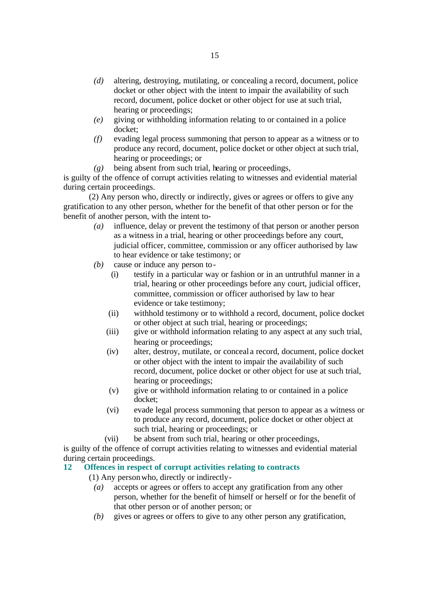- *(d)* altering, destroying, mutilating, or concealing a record, document, police docket or other object with the intent to impair the availability of such record, document, police docket or other object for use at such trial, hearing or proceedings;
- *(e)* giving or withholding information relating to or contained in a police docket;
- *(f)* evading legal process summoning that person to appear as a witness or to produce any record, document, police docket or other object at such trial, hearing or proceedings; or
- $(g)$  being absent from such trial, hearing or proceedings,

is guilty of the offence of corrupt activities relating to witnesses and evidential material during certain proceedings.

(2) Any person who, directly or indirectly, gives or agrees or offers to give any gratification to any other person, whether for the benefit of that other person or for the benefit of another person, with the intent to-

- *(a)* influence, delay or prevent the testimony of that person or another person as a witness in a trial, hearing or other proceedings before any court, judicial officer, committee, commission or any officer authorised by law to hear evidence or take testimony; or
- *(b)* cause or induce any person to-
	- (i) testify in a particular way or fashion or in an untruthful manner in a trial, hearing or other proceedings before any court, judicial officer, committee, commission or officer authorised by law to hear evidence or take testimony;
	- (ii) withhold testimony or to withhold a record, document, police docket or other object at such trial, hearing or proceedings;
	- (iii) give or withhold information relating to any aspect at any such trial, hearing or proceedings;
	- (iv) alter, destroy, mutilate, or conceal a record, document, police docket or other object with the intent to impair the availability of such record, document, police docket or other object for use at such trial, hearing or proceedings;
	- (v) give or withhold information relating to or contained in a police docket;
	- (vi) evade legal process summoning that person to appear as a witness or to produce any record, document, police docket or other object at such trial, hearing or proceedings; or
	- (vii) be absent from such trial, hearing or other proceedings,

is guilty of the offence of corrupt activities relating to witnesses and evidential material during certain proceedings.

## **12 Offences in respect of corrupt activities relating to contracts**

- (1) Any person who, directly or indirectly-
	- *(a)* accepts or agrees or offers to accept any gratification from any other person, whether for the benefit of himself or herself or for the benefit of that other person or of another person; or
	- *(b)* gives or agrees or offers to give to any other person any gratification,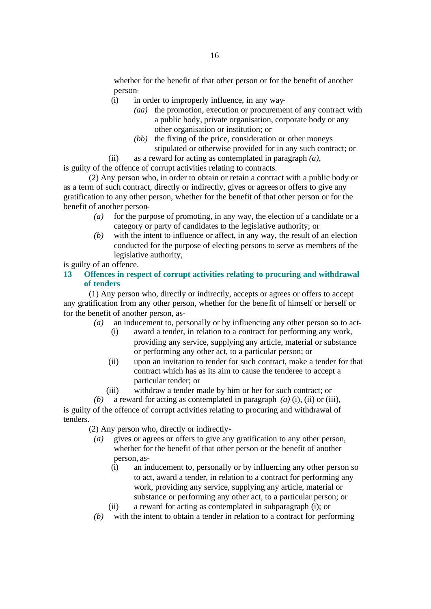whether for the benefit of that other person or for the benefit of another person-

- (i) in order to improperly influence, in any way-
	- *(aa)* the promotion, execution or procurement of any contract with a public body, private organisation, corporate body or any other organisation or institution; or
	- *(bb)* the fixing of the price, consideration or other moneys stipulated or otherwise provided for in any such contract; or

(ii) as a reward for acting as contemplated in paragraph *(a)*,

is guilty of the offence of corrupt activities relating to contracts.

(2) Any person who, in order to obtain or retain a contract with a public body or as a term of such contract, directly or indirectly, gives or agrees or offers to give any gratification to any other person, whether for the benefit of that other person or for the benefit of another person-

- *(a)* for the purpose of promoting, in any way, the election of a candidate or a category or party of candidates to the legislative authority; or
- *(b)* with the intent to influence or affect, in any way, the result of an election conducted for the purpose of electing persons to serve as members of the legislative authority,

is guilty of an offence.

### **13 Offences in respect of corrupt activities relating to procuring and withdrawal of tenders**

(1) Any person who, directly or indirectly, accepts or agrees or offers to accept any gratification from any other person, whether for the bene fit of himself or herself or for the benefit of another person, as-

- *(a)* an inducement to, personally or by influencing any other person so to act-
	- (i) award a tender, in relation to a contract for performing any work, providing any service, supplying any article, material or substance or performing any other act, to a particular person; or
	- (ii) upon an invitation to tender for such contract, make a tender for that contract which has as its aim to cause the tenderee to accept a particular tender; or
	- (iii) withdraw a tender made by him or her for such contract; or
- *(b)* a reward for acting as contemplated in paragraph *(a)* (i), (ii) or (iii),

is guilty of the offence of corrupt activities relating to procuring and withdrawal of tenders.

(2) Any person who, directly or indirectly-

- *(a)* gives or agrees or offers to give any gratification to any other person, whether for the benefit of that other person or the benefit of another person, as-
	- (i) an inducement to, personally or by influencing any other person so to act, award a tender, in relation to a contract for performing any work, providing any service, supplying any article, material or substance or performing any other act, to a particular person; or
	- (ii) a reward for acting as contemplated in subparagraph (i); or
- *(b)* with the intent to obtain a tender in relation to a contract for performing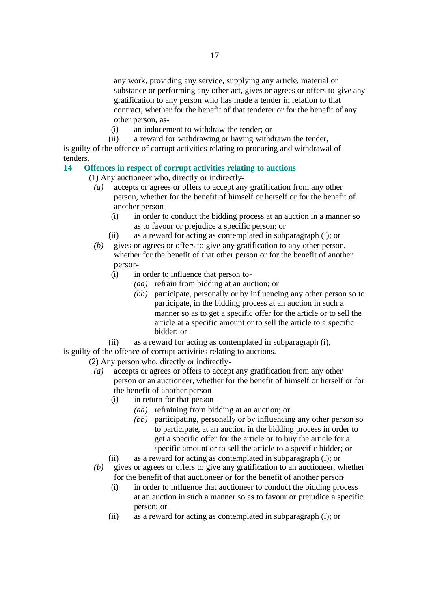any work, providing any service, supplying any article, material or substance or performing any other act, gives or agrees or offers to give any gratification to any person who has made a tender in relation to that contract, whether for the benefit of that tenderer or for the benefit of any other person, as-

(i) an inducement to withdraw the tender; or

(ii) a reward for withdrawing or having withdrawn the tender, is guilty of the offence of corrupt activities relating to procuring and withdrawal of tenders.

### **14 Offences in respect of corrupt activities relating to auctions**

(1) Any auctioneer who, directly or indirectly-

- *(a)* accepts or agrees or offers to accept any gratification from any other person, whether for the benefit of himself or herself or for the benefit of another person-
	- (i) in order to conduct the bidding process at an auction in a manner so as to favour or prejudice a specific person; or
	- (ii) as a reward for acting as contemplated in subparagraph (i); or
- *(b)* gives or agrees or offers to give any gratification to any other person, whether for the benefit of that other person or for the benefit of another person-
	- (i) in order to influence that person to-
		- *(aa)* refrain from bidding at an auction; or
		- *(bb)* participate, personally or by influencing any other person so to participate, in the bidding process at an auction in such a manner so as to get a specific offer for the article or to sell the article at a specific amount or to sell the article to a specific bidder; or

(ii) as a reward for acting as contemplated in subparagraph (i), is guilty of the offence of corrupt activities relating to auctions.

- (2) Any person who, directly or indirectly-
	- *(a)* accepts or agrees or offers to accept any gratification from any other person or an auctioneer, whether for the benefit of himself or herself or for the benefit of another person-
		- (i) in return for that person-
			- *(aa)* refraining from bidding at an auction; or
			- *(bb)* participating, personally or by influencing any other person so to participate, at an auction in the bidding process in order to get a specific offer for the article or to buy the article for a specific amount or to sell the article to a specific bidder; or
		- (ii) as a reward for acting as contemplated in subparagraph (i); or
	- *(b)* gives or agrees or offers to give any gratification to an auctioneer, whether for the benefit of that auctioneer or for the benefit of another person-
		- (i) in order to influence that auctioneer to conduct the bidding process at an auction in such a manner so as to favour or prejudice a specific person; or
		- (ii) as a reward for acting as contemplated in subparagraph (i); or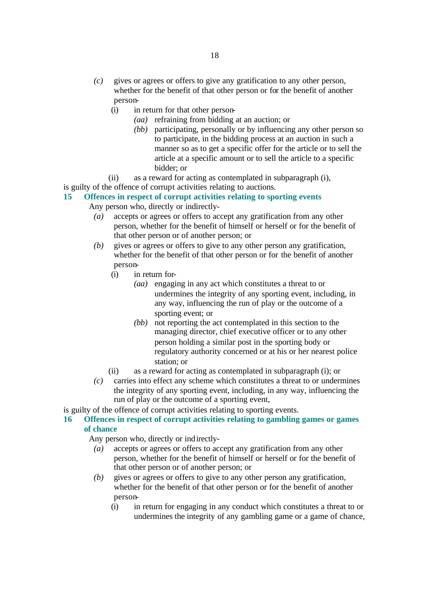- *(c)* gives or agrees or offers to give any gratification to any other person, whether for the benefit of that other person or for the benefit of another person-
	- (i) in return for that other person-
		- *(aa)* refraining from bidding at an auction; or
		- *(bb)* participating, personally or by influencing any other person so to participate, in the bidding process at an auction in such a manner so as to get a specific offer for the article or to sell the article at a specific amount or to sell the article to a specific bidder; or
	- (ii) as a reward for acting as contemplated in subparagraph (i),

is guilty of the offence of corrupt activities relating to auctions.

### **15 Offences in respect of corrupt activities relating to sporting events**

- Any person who, directly or indirectly-
	- *(a)* accepts or agrees or offers to accept any gratification from any other person, whether for the benefit of himself or herself or for the benefit of that other person or of another person; or
	- *(b)* gives or agrees or offers to give to any other person any gratification, whether for the benefit of that other person or for the benefit of another person-
		- (i) in return for-
			- *(aa)* engaging in any act which constitutes a threat to or undermines the integrity of any sporting event, including, in any way, influencing the run of play or the outcome of a sporting event; or
			- *(bb)* not reporting the act contemplated in this section to the managing director, chief executive officer or to any other person holding a similar post in the sporting body or regulatory authority concerned or at his or her nearest police station; or
		- (ii) as a reward for acting as contemplated in subparagraph (i); or
	- *(c)* carries into effect any scheme which constitutes a threat to or undermines the integrity of any sporting event, including, in any way, influencing the run of play or the outcome of a sporting event,

is guilty of the offence of corrupt activities relating to sporting events.

### **16 Offences in respect of corrupt activities relating to gambling games or games of chance**

Any person who, directly or indirectly-

- *(a)* accepts or agrees or offers to accept any gratification from any other person, whether for the benefit of himself or herself or for the benefit of that other person or of another person; or
- *(b)* gives or agrees or offers to give to any other person any gratification, whether for the benefit of that other person or for the benefit of another person-
	- (i) in return for engaging in any conduct which constitutes a threat to or undermines the integrity of any gambling game or a game of chance,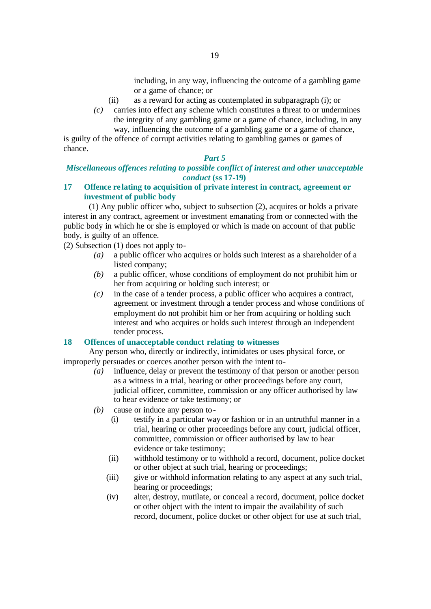including, in any way, influencing the outcome of a gambling game or a game of chance; or

- (ii) as a reward for acting as contemplated in subparagraph (i); or
- *(c)* carries into effect any scheme which constitutes a threat to or undermines the integrity of any gambling game or a game of chance, including, in any way, influencing the outcome of a gambling game or a game of chance,

is guilty of the offence of corrupt activities relating to gambling games or games of chance.

#### *Part 5*

### *Miscellaneous offences relating to possible conflict of interest and other unacceptable conduct* **(ss 17-19)**

### **17 Offence re lating to acquisition of private interest in contract, agreement or investment of public body**

(1) Any public officer who, subject to subsection (2), acquires or holds a private interest in any contract, agreement or investment emanating from or connected with the public body in which he or she is employed or which is made on account of that public body, is guilty of an offence.

(2) Subsection (1) does not apply to-

- *(a)* a public officer who acquires or holds such interest as a shareholder of a listed company;
- *(b)* a public officer, whose conditions of employment do not prohibit him or her from acquiring or holding such interest; or
- *(c)* in the case of a tender process, a public officer who acquires a contract, agreement or investment through a tender process and whose conditions of employment do not prohibit him or her from acquiring or holding such interest and who acquires or holds such interest through an independent tender process.

#### **18 Offences of unacceptable conduct relating to witnesses**

Any person who, directly or indirectly, intimidates or uses physical force, or improperly persuades or coerces another person with the intent to-

- *(a)* influence, delay or prevent the testimony of that person or another person as a witness in a trial, hearing or other proceedings before any court, judicial officer, committee, commission or any officer authorised by law to hear evidence or take testimony; or
- *(b)* cause or induce any person to-
	- (i) testify in a particular way or fashion or in an untruthful manner in a trial, hearing or other proceedings before any court, judicial officer, committee, commission or officer authorised by law to hear evidence or take testimony;
	- (ii) withhold testimony or to withhold a record, document, police docket or other object at such trial, hearing or proceedings;
	- (iii) give or withhold information relating to any aspect at any such trial, hearing or proceedings;
	- (iv) alter, destroy, mutilate, or conceal a record, document, police docket or other object with the intent to impair the availability of such record, document, police docket or other object for use at such trial,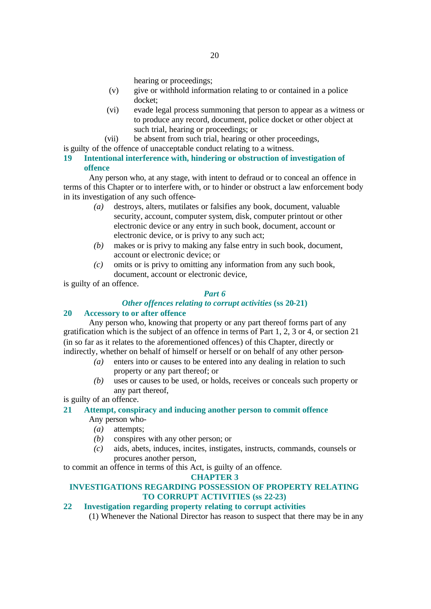hearing or proceedings;

- (v) give or withhold information relating to or contained in a police docket;
- (vi) evade legal process summoning that person to appear as a witness or to produce any record, document, police docket or other object at such trial, hearing or proceedings; or
- (vii) be absent from such trial, hearing or other proceedings,

is guilty of the offence of unacceptable conduct relating to a witness.

### **19 Intentional interference with, hindering or obstruction of investigation of offence**

Any person who, at any stage, with intent to defraud or to conceal an offence in terms of this Chapter or to interfere with, or to hinder or obstruct a law enforcement body in its investigation of any such offence-

- *(a)* destroys, alters, mutilates or falsifies any book, document, valuable security, account, computer system, disk, computer printout or other electronic device or any entry in such book, document, account or electronic device, or is privy to any such act;
- *(b)* makes or is privy to making any false entry in such book, document, account or electronic device; or
- *(c)* omits or is privy to omitting any information from any such book, document, account or electronic device,

is guilty of an offence.

### *Part 6*

### *Other offences relating to corrupt activities* **(ss 20-21)**

### **20 Accessory to or after offence**

Any person who, knowing that property or any part thereof forms part of any gratification which is the subject of an offence in terms of Part 1, 2, 3 or 4, or section 21 (in so far as it relates to the aforementioned offences) of this Chapter, directly or indirectly, whether on behalf of himself or herself or on behalf of any other person-

- *(a)* enters into or causes to be entered into any dealing in relation to such property or any part thereof; or
- *(b)* uses or causes to be used, or holds, receives or conceals such property or any part thereof,

is guilty of an offence.

### **21 Attempt, conspiracy and inducing another person to commit offence** Any person who-

- *(a)* attempts;
- *(b)* conspires with any other person; or
- *(c)* aids, abets, induces, incites, instigates, instructs, commands, counsels or procures another person,

to commit an offence in terms of this Act, is guilty of an offence.

### **CHAPTER 3**

## **INVESTIGATIONS REGARDING POSSESSION OF PROPERTY RELATING TO CORRUPT ACTIVITIES (ss 22-23)**

### **22 Investigation regarding property relating to corrupt activities**

(1) Whenever the National Director has reason to suspect that there may be in any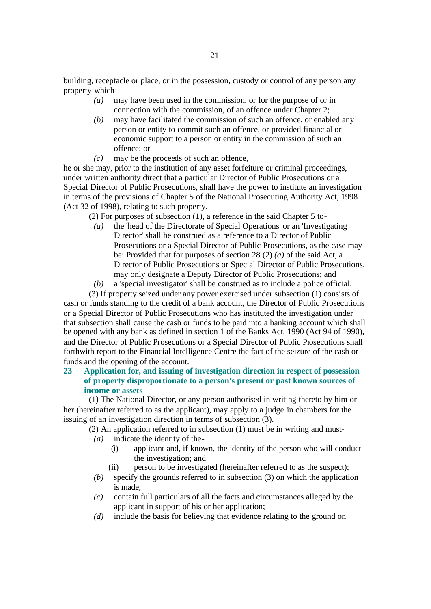building, receptacle or place, or in the possession, custody or control of any person any property which-

- *(a)* may have been used in the commission, or for the purpose of or in connection with the commission, of an offence under Chapter 2;
- *(b)* may have facilitated the commission of such an offence, or enabled any person or entity to commit such an offence, or provided financial or economic support to a person or entity in the commission of such an offence; or
- *(c)* may be the proceeds of such an offence,

he or she may, prior to the institution of any asset forfeiture or criminal proceedings, under written authority direct that a particular Director of Public Prosecutions or a Special Director of Public Prosecutions, shall have the power to institute an investigation in terms of the provisions of Chapter 5 of the National Prosecuting Authority Act, 1998 (Act 32 of 1998), relating to such property.

(2) For purposes of subsection (1), a reference in the said Chapter 5 to-

- *(a)* the 'head of the Directorate of Special Operations' or an 'Investigating Director' shall be construed as a reference to a Director of Public Prosecutions or a Special Director of Public Prosecutions, as the case may be: Provided that for purposes of section 28 (2) *(a)* of the said Act, a Director of Public Prosecutions or Special Director of Public Prosecutions, may only designate a Deputy Director of Public Prosecutions; and
- *(b)* a 'special investigator' shall be construed as to include a police official.

(3) If property seized under any power exercised under subsection (1) consists of cash or funds standing to the credit of a bank account, the Director of Public Prosecutions or a Special Director of Public Prosecutions who has instituted the investigation under that subsection shall cause the cash or funds to be paid into a banking account which shall be opened with any bank as defined in section 1 of the Banks Act, 1990 (Act 94 of 1990), and the Director of Public Prosecutions or a Special Director of Public Prosecutions shall forthwith report to the Financial Intelligence Centre the fact of the seizure of the cash or funds and the opening of the account.

### **23 Application for, and issuing of investigation direction in respect of possession of property disproportionate to a person's present or past known sources of income or assets**

(1) The National Director, or any person authorised in writing thereto by him or her (hereinafter referred to as the applicant), may apply to a judge in chambers for the issuing of an investigation direction in terms of subsection (3).

- (2) An application referred to in subsection (1) must be in writing and must-
	- *(a)* indicate the identity of the-
		- (i) applicant and, if known, the identity of the person who will conduct the investigation; and
		- (ii) person to be investigated (hereinafter referred to as the suspect);
	- *(b)* specify the grounds referred to in subsection (3) on which the application is made;
	- *(c)* contain full particulars of all the facts and circumstances alleged by the applicant in support of his or her application;
	- *(d)* include the basis for believing that evidence relating to the ground on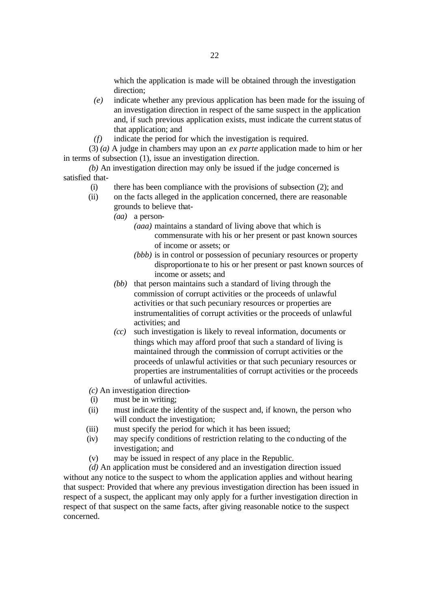which the application is made will be obtained through the investigation direction;

- *(e)* indicate whether any previous application has been made for the issuing of an investigation direction in respect of the same suspect in the application and, if such previous application exists, must indicate the current status of that application; and
- *(f)* indicate the period for which the investigation is required.

(3) *(a)* A judge in chambers may upon an *ex parte* application made to him or her in terms of subsection (1), issue an investigation direction.

*(b)* An investigation direction may only be issued if the judge concerned is satisfied that-

- (i) there has been compliance with the provisions of subsection (2); and
- (ii) on the facts alleged in the application concerned, there are reasonable grounds to believe that-
	- *(aa)* a person-
		- *(aaa)* maintains a standard of living above that which is commensurate with his or her present or past known sources of income or assets; or
		- *(bbb)* is in control or possession of pecuniary resources or property disproportiona te to his or her present or past known sources of income or assets; and
	- *(bb)* that person maintains such a standard of living through the commission of corrupt activities or the proceeds of unlawful activities or that such pecuniary resources or properties are instrumentalities of corrupt activities or the proceeds of unlawful activities; and
	- *(cc)* such investigation is likely to reveal information, documents or things which may afford proof that such a standard of living is maintained through the commission of corrupt activities or the proceeds of unlawful activities or that such pecuniary resources or properties are instrumentalities of corrupt activities or the proceeds of unlawful activities.
- *(c)* An investigation direction-
- (i) must be in writing;
- (ii) must indicate the identity of the suspect and, if known, the person who will conduct the investigation;
- (iii) must specify the period for which it has been issued;
- (iv) may specify conditions of restriction relating to the co nducting of the investigation; and
- (v) may be issued in respect of any place in the Republic.

*(d)* An application must be considered and an investigation direction issued without any notice to the suspect to whom the application applies and without hearing that suspect: Provided that where any previous investigation direction has been issued in respect of a suspect, the applicant may only apply for a further investigation direction in respect of that suspect on the same facts, after giving reasonable notice to the suspect concerned.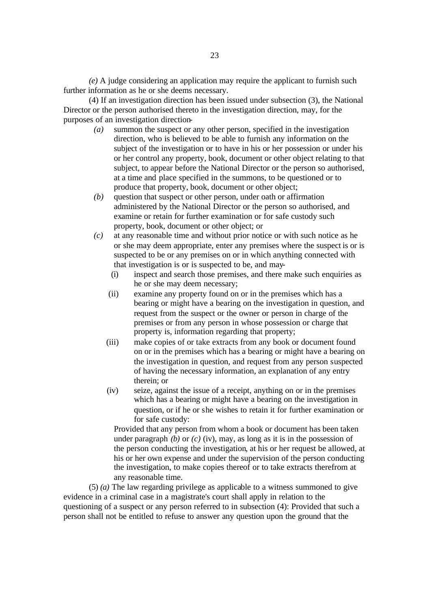*(e)* A judge considering an application may require the applicant to furnish such further information as he or she deems necessary.

(4) If an investigation direction has been issued under subsection (3), the National Director or the person authorised thereto in the investigation direction, may, for the purposes of an investigation direction-

- *(a)* summon the suspect or any other person, specified in the investigation direction, who is believed to be able to furnish any information on the subject of the investigation or to have in his or her possession or under his or her control any property, book, document or other object relating to that subject, to appear before the National Director or the person so authorised, at a time and place specified in the summons, to be questioned or to produce that property, book, document or other object;
- *(b)* question that suspect or other person, under oath or affirmation administered by the National Director or the person so authorised, and examine or retain for further examination or for safe custody such property, book, document or other object; or
- *(c)* at any reasonable time and without prior notice or with such notice as he or she may deem appropriate, enter any premises where the suspect is or is suspected to be or any premises on or in which anything connected with that investigation is or is suspected to be, and may-
	- (i) inspect and search those premises, and there make such enquiries as he or she may deem necessary;
	- (ii) examine any property found on or in the premises which has a bearing or might have a bearing on the investigation in question, and request from the suspect or the owner or person in charge of the premises or from any person in whose possession or charge that property is, information regarding that property;
	- (iii) make copies of or take extracts from any book or document found on or in the premises which has a bearing or might have a bearing on the investigation in question, and request from any person suspected of having the necessary information, an explanation of any entry therein; or
	- (iv) seize, against the issue of a receipt, anything on or in the premises which has a bearing or might have a bearing on the investigation in question, or if he or she wishes to retain it for further examination or for safe custody:

Provided that any person from whom a book or document has been taken under paragraph *(b)* or *(c)* (iv), may, as long as it is in the possession of the person conducting the investigation, at his or her request be allowed, at his or her own expense and under the supervision of the person conducting the investigation, to make copies thereof or to take extracts therefrom at any reasonable time.

(5) *(a)* The law regarding privilege as applicable to a witness summoned to give evidence in a criminal case in a magistrate's court shall apply in relation to the questioning of a suspect or any person referred to in subsection (4): Provided that such a person shall not be entitled to refuse to answer any question upon the ground that the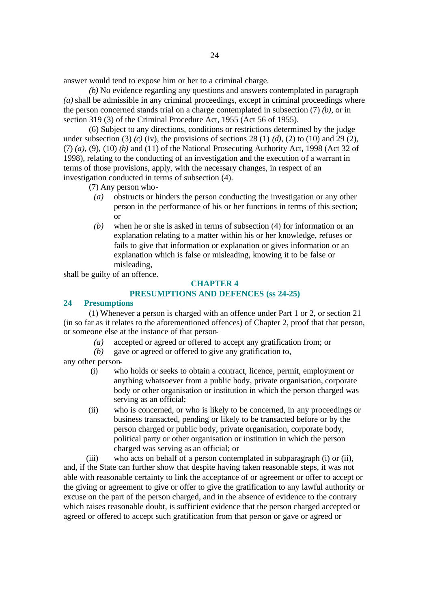answer would tend to expose him or her to a criminal charge.

*(b)* No evidence regarding any questions and answers contemplated in paragraph *(a)* shall be admissible in any criminal proceedings, except in criminal proceedings where the person concerned stands trial on a charge contemplated in subsection (7) *(b)*, or in section 319 (3) of the Criminal Procedure Act, 1955 (Act 56 of 1955).

(6) Subject to any directions, conditions or restrictions determined by the judge under subsection (3)  $(c)$  (iv), the provisions of sections 28 (1)  $(d)$ , (2) to (10) and 29 (2), (7) *(a)*, (9), (10) *(b)* and (11) of the National Prosecuting Authority Act, 1998 (Act 32 of 1998), relating to the conducting of an investigation and the execution of a warrant in terms of those provisions, apply, with the necessary changes, in respect of an investigation conducted in terms of subsection (4).

(7) Any person who-

- *(a)* obstructs or hinders the person conducting the investigation or any other person in the performance of his or her functions in terms of this section; or
- *(b)* when he or she is asked in terms of subsection (4) for information or an explanation relating to a matter within his or her knowledge, refuses or fails to give that information or explanation or gives information or an explanation which is false or misleading, knowing it to be false or misleading,

shall be guilty of an offence.

#### **CHAPTER 4**

#### **PRESUMPTIONS AND DEFENCES (ss 24-25)**

### **24 Presumptions**

(1) Whenever a person is charged with an offence under Part 1 or 2, or section 21 (in so far as it relates to the aforementioned offences) of Chapter 2, proof that that person, or someone else at the instance of that person-

- *(a)* accepted or agreed or offered to accept any gratification from; or
- *(b)* gave or agreed or offered to give any gratification to,

any other person-

- (i) who holds or seeks to obtain a contract, licence, permit, employment or anything whatsoever from a public body, private organisation, corporate body or other organisation or institution in which the person charged was serving as an official;
- (ii) who is concerned, or who is likely to be concerned, in any proceedings or business transacted, pending or likely to be transacted before or by the person charged or public body, private organisation, corporate body, political party or other organisation or institution in which the person charged was serving as an official; or

(iii) who acts on behalf of a person contemplated in subparagraph (i) or (ii), and, if the State can further show that despite having taken reasonable steps, it was not able with reasonable certainty to link the acceptance of or agreement or offer to accept or the giving or agreement to give or offer to give the gratification to any lawful authority or excuse on the part of the person charged, and in the absence of evidence to the contrary which raises reasonable doubt, is sufficient evidence that the person charged accepted or agreed or offered to accept such gratification from that person or gave or agreed or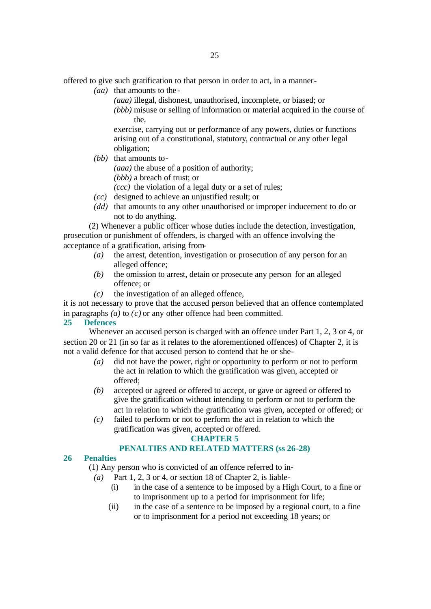offered to give such gratification to that person in order to act, in a manner-

- *(aa)* that amounts to the
	- *(aaa)* illegal, dishonest, unauthorised, incomplete, or biased; or
	- *(bbb)* misuse or selling of information or material acquired in the course of the,

exercise, carrying out or performance of any powers, duties or functions arising out of a constitutional, statutory, contractual or any other legal obligation;

*(bb)* that amounts to-

*(aaa)* the abuse of a position of authority;

*(bbb)* a breach of trust; or

*(ccc)* the violation of a legal duty or a set of rules;

- *(cc)* designed to achieve an unjustified result; or
- *(dd)* that amounts to any other unauthorised or improper inducement to do or not to do anything.

(2) Whenever a public officer whose duties include the detection, investigation, prosecution or punishment of offenders, is charged with an offence involving the acceptance of a gratification, arising from-

- *(a)* the arrest, detention, investigation or prosecution of any person for an alleged offence;
- *(b)* the omission to arrest, detain or prosecute any person for an alleged offence; or
- *(c)* the investigation of an alleged offence,

it is not necessary to prove that the accused person believed that an offence contemplated in paragraphs *(a)* to *(c)* or any other offence had been committed.

#### **25 Defences**

Whenever an accused person is charged with an offence under Part 1, 2, 3 or 4, or section 20 or 21 (in so far as it relates to the aforementioned offences) of Chapter 2, it is not a valid defence for that accused person to contend that he or she-

- *(a)* did not have the power, right or opportunity to perform or not to perform the act in relation to which the gratification was given, accepted or offered;
- *(b)* accepted or agreed or offered to accept, or gave or agreed or offered to give the gratification without intending to perform or not to perform the act in relation to which the gratification was given, accepted or offered; or
- *(c)* failed to perform or not to perform the act in relation to which the gratification was given, accepted or offered.

#### **CHAPTER 5**

### **PENALTIES AND RELATED MATTERS (ss 26-28)**

#### **26 Penalties**

(1) Any person who is convicted of an offence referred to in-

- *(a)* Part 1, 2, 3 or 4, or section 18 of Chapter 2, is liable-
	- (i) in the case of a sentence to be imposed by a High Court, to a fine or to imprisonment up to a period for imprisonment for life;
	- (ii) in the case of a sentence to be imposed by a regional court, to a fine or to imprisonment for a period not exceeding 18 years; or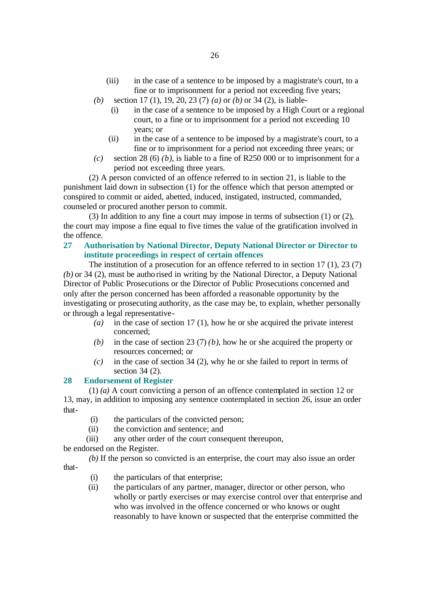- (iii) in the case of a sentence to be imposed by a magistrate's court, to a fine or to imprisonment for a period not exceeding five years;
- *(b)* section 17 (1), 19, 20, 23 (7) *(a)* or *(b)* or 34 (2), is liable-
	- (i) in the case of a sentence to be imposed by a High Court or a regional court, to a fine or to imprisonment for a period not exceeding 10 years; or
	- (ii) in the case of a sentence to be imposed by a magistrate's court, to a fine or to imprisonment for a period not exceeding three years; or
- *(c)* section 28 (6) *(b)*, is liable to a fine of R250 000 or to imprisonment for a period not exceeding three years.

(2) A person convicted of an offence referred to in section 21, is liable to the punishment laid down in subsection (1) for the offence which that person attempted or conspired to commit or aided, abetted, induced, instigated, instructed, commanded, counseled or procured another person to commit.

(3) In addition to any fine a court may impose in terms of subsection (1) or (2), the court may impose a fine equal to five times the value of the gratification involved in the offence.

### **27 Authorisation by National Director, Deputy National Director or Director to institute proceedings in respect of certain offences**

The institution of a prosecution for an offence referred to in section 17 (1), 23 (7) *(b)* or 34 (2), must be authorised in writing by the National Director, a Deputy National Director of Public Prosecutions or the Director of Public Prosecutions concerned and only after the person concerned has been afforded a reasonable opportunity by the investigating or prosecuting authority, as the case may be, to explain, whether personally or through a legal representative-

- *(a)* in the case of section 17 (1), how he or she acquired the private interest concerned;
- *(b)* in the case of section 23 (7) *(b)*, how he or she acquired the property or resources concerned; or
- *(c)* in the case of section 34 (2), why he or she failed to report in terms of section 34 (2).

### **28 Endorsement of Register**

(1) *(a)* A court convicting a person of an offence contemplated in section 12 or 13, may, in addition to imposing any sentence contemplated in section 26, issue an order that-

- (i) the particulars of the convicted person;
- (ii) the conviction and sentence; and
- (iii) any other order of the court consequent thereupon,

be endorsed on the Register.

*(b)* If the person so convicted is an enterprise, the court may also issue an order that-

- (i) the particulars of that enterprise;
- (ii) the particulars of any partner, manager, director or other person, who wholly or partly exercises or may exercise control over that enterprise and who was involved in the offence concerned or who knows or ought reasonably to have known or suspected that the enterprise committed the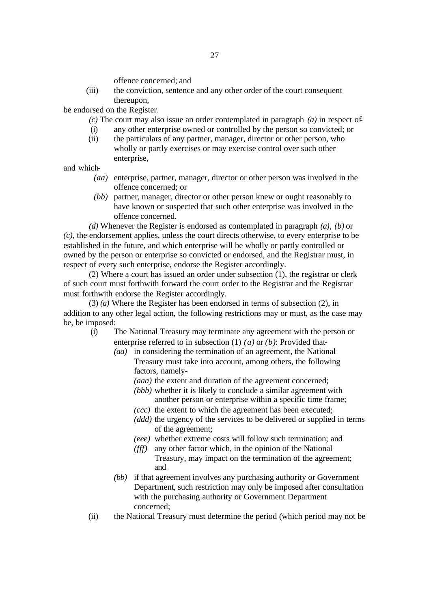offence concerned; and

(iii) the conviction, sentence and any other order of the court consequent thereupon,

be endorsed on the Register.

- *(c)* The court may also issue an order contemplated in paragraph *(a)* in respect of-
- (i) any other enterprise owned or controlled by the person so convicted; or
- (ii) the particulars of any partner, manager, director or other person, who wholly or partly exercises or may exercise control over such other enterprise,

and which-

- *(aa)* enterprise, partner, manager, director or other person was involved in the offence concerned; or
- *(bb)* partner, manager, director or other person knew or ought reasonably to have known or suspected that such other enterprise was involved in the offence concerned.

*(d)* Whenever the Register is endorsed as contemplated in paragraph *(a)*, *(b)* or *(c)*, the endorsement applies, unless the court directs otherwise, to every enterprise to be established in the future, and which enterprise will be wholly or partly controlled or owned by the person or enterprise so convicted or endorsed, and the Registrar must, in respect of every such enterprise, endorse the Register accordingly.

(2) Where a court has issued an order under subsection (1), the registrar or clerk of such court must forthwith forward the court order to the Registrar and the Registrar must forthwith endorse the Register accordingly.

(3) *(a)* Where the Register has been endorsed in terms of subsection (2), in addition to any other legal action, the following restrictions may or must, as the case may be, be imposed:

- (i) The National Treasury may terminate any agreement with the person or enterprise referred to in subsection (1) *(a)* or *(b)*: Provided that-
	- *(aa)* in considering the termination of an agreement, the National Treasury must take into account, among others, the following factors, namely-
		- *(aaa)* the extent and duration of the agreement concerned;
		- *(bbb)* whether it is likely to conclude a similar agreement with another person or enterprise within a specific time frame;
		- *(ccc)* the extent to which the agreement has been executed;
		- *(ddd)* the urgency of the services to be delivered or supplied in terms of the agreement;
		- *(eee)* whether extreme costs will follow such termination; and
		- *(fff)* any other factor which, in the opinion of the National Treasury, may impact on the termination of the agreement; and
	- *(bb)* if that agreement involves any purchasing authority or Government Department, such restriction may only be imposed after consultation with the purchasing authority or Government Department concerned;
- (ii) the National Treasury must determine the period (which period may not be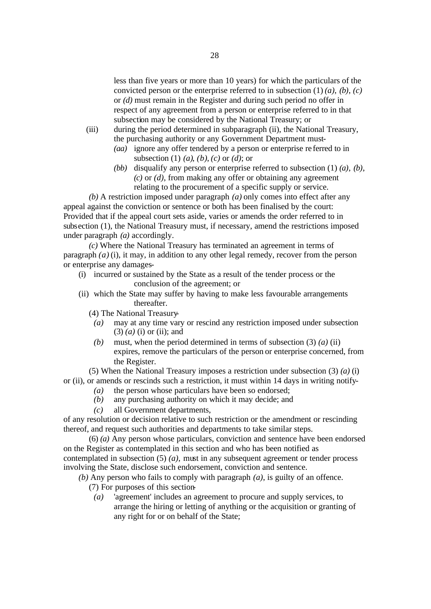less than five years or more than 10 years) for which the particulars of the convicted person or the enterprise referred to in subsection (1) *(a)*, *(b)*, *(c)* or *(d)* must remain in the Register and during such period no offer in respect of any agreement from a person or enterprise referred to in that subsection may be considered by the National Treasury; or

- (iii) during the period determined in subparagraph (ii), the National Treasury, the purchasing authority or any Government Department must- *(aa)* ignore any offer tendered by a person or enterprise re ferred to in
	- subsection (1) *(a)*, *(b)*, *(c)* or *(d)*; or
	- *(bb)* disqualify any person or enterprise referred to subsection (1) *(a)*, *(b)*, *(c)* or *(d)*, from making any offer or obtaining any agreement relating to the procurement of a specific supply or service.

*(b)* A restriction imposed under paragraph *(a)* only comes into effect after any appeal against the conviction or sentence or both has been finalised by the court: Provided that if the appeal court sets aside, varies or amends the order referred to in subsection (1), the National Treasury must, if necessary, amend the restrictions imposed under paragraph *(a)* accordingly.

*(c)* Where the National Treasury has terminated an agreement in terms of paragraph *(a)* (i), it may, in addition to any other legal remedy, recover from the person or enterprise any damages-

- (i) incurred or sustained by the State as a result of the tender process or the conclusion of the agreement; or
- (ii) which the State may suffer by having to make less favourable arrangements thereafter.
	- (4) The National Treasury-
		- *(a)* may at any time vary or rescind any restriction imposed under subsection (3) *(a)* (i) or (ii); and
		- *(b)* must, when the period determined in terms of subsection (3) *(a)* (ii) expires, remove the particulars of the person or enterprise concerned, from the Register.

(5) When the National Treasury imposes a restriction under subsection (3) *(a)* (i) or (ii), or amends or rescinds such a restriction, it must within 14 days in writing notify-

- *(a)* the person whose particulars have been so endorsed;
- *(b)* any purchasing authority on which it may decide; and
- *(c)* all Government departments,

of any resolution or decision relative to such restriction or the amendment or rescinding thereof, and request such authorities and departments to take similar steps.

(6) *(a)* Any person whose particulars, conviction and sentence have been endorsed on the Register as contemplated in this section and who has been notified as contemplated in subsection (5) *(a)*, must in any subsequent agreement or tender process involving the State, disclose such endorsement, conviction and sentence.

*(b)* Any person who fails to comply with paragraph *(a)*, is guilty of an offence.

- (7) For purposes of this section-
	- *(a)* 'agreement' includes an agreement to procure and supply services, to arrange the hiring or letting of anything or the acquisition or granting of any right for or on behalf of the State;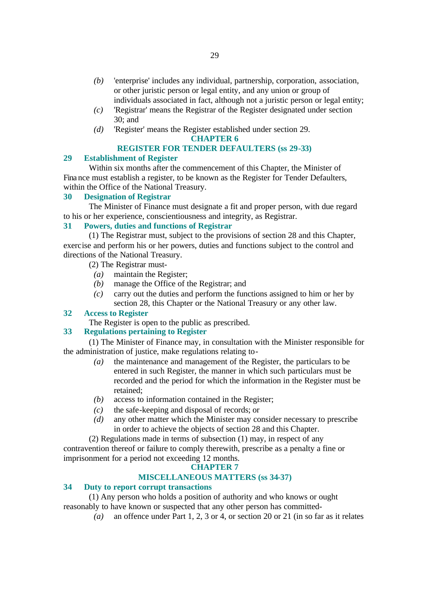- *(c)* 'Registrar' means the Registrar of the Register designated under section 30; and
- *(d)* 'Register' means the Register established under section 29.

# **CHAPTER 6**

# **REGISTER FOR TENDER DEFAULTERS (ss 29-33)**

## **29 Establishment of Register**

Within six months after the commencement of this Chapter, the Minister of Fina nce must establish a register, to be known as the Register for Tender Defaulters, within the Office of the National Treasury.

## **30 Designation of Registrar**

The Minister of Finance must designate a fit and proper person, with due regard to his or her experience, conscientiousness and integrity, as Registrar.

# **31 Powers, duties and functions of Registrar**

(1) The Registrar must, subject to the provisions of section 28 and this Chapter, exercise and perform his or her powers, duties and functions subject to the control and directions of the National Treasury.

(2) The Registrar must-

- *(a)* maintain the Register;
- *(b)* manage the Office of the Registrar; and
- *(c)* carry out the duties and perform the functions assigned to him or her by section 28, this Chapter or the National Treasury or any other law.

# **32 Access to Register**

The Register is open to the public as prescribed.

# **33 Regulations pertaining to Register**

(1) The Minister of Finance may, in consultation with the Minister responsible for the administration of justice, make regulations relating to-

- *(a)* the maintenance and management of the Register, the particulars to be entered in such Register, the manner in which such particulars must be recorded and the period for which the information in the Register must be retained;
- *(b)* access to information contained in the Register;
- *(c)* the safe-keeping and disposal of records; or
- *(d)* any other matter which the Minister may consider necessary to prescribe in order to achieve the objects of section 28 and this Chapter.

(2) Regulations made in terms of subsection (1) may, in respect of any

contravention thereof or failure to comply therewith, prescribe as a penalty a fine or imprisonment for a period not exceeding 12 months.

# **CHAPTER 7**

# **MISCELLANEOUS MATTERS (ss 34-37)**

# **34 Duty to report corrupt transactions**

(1) Any person who holds a position of authority and who knows or ought reasonably to have known or suspected that any other person has committed-

*(a)* an offence under Part 1, 2, 3 or 4, or section 20 or 21 (in so far as it relates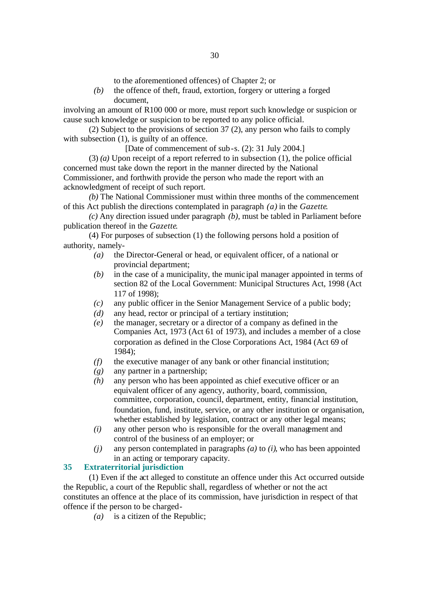to the aforementioned offences) of Chapter 2; or

*(b)* the offence of theft, fraud, extortion, forgery or uttering a forged document,

involving an amount of R100 000 or more, must report such knowledge or suspicion or cause such knowledge or suspicion to be reported to any police official.

(2) Subject to the provisions of section 37 (2), any person who fails to comply with subsection (1), is guilty of an offence.

[Date of commencement of sub-s. (2): 31 July 2004.]

 $(3)$  *(a)* Upon receipt of a report referred to in subsection  $(1)$ , the police official concerned must take down the report in the manner directed by the National Commissioner, and forthwith provide the person who made the report with an acknowledgment of receipt of such report.

*(b)* The National Commissioner must within three months of the commencement of this Act publish the directions contemplated in paragraph *(a)* in the *Gazette*.

*(c)* Any direction issued under paragraph *(b)*, must be tabled in Parliament before publication thereof in the *Gazette*.

(4) For purposes of subsection (1) the following persons hold a position of authority, namely-

- *(a)* the Director-General or head, or equivalent officer, of a national or provincial department;
- *(b)* in the case of a municipality, the munic ipal manager appointed in terms of section 82 of the Local Government: Municipal Structures Act, 1998 (Act 117 of 1998);
- *(c)* any public officer in the Senior Management Service of a public body;
- *(d)* any head, rector or principal of a tertiary institution;
- *(e)* the manager, secretary or a director of a company as defined in the Companies Act, 1973 (Act 61 of 1973), and includes a member of a close corporation as defined in the Close Corporations Act, 1984 (Act 69 of 1984);
- *(f)* the executive manager of any bank or other financial institution;
- *(g)* any partner in a partnership;
- *(h)* any person who has been appointed as chief executive officer or an equivalent officer of any agency, authority, board, commission, committee, corporation, council, department, entity, financial institution, foundation, fund, institute, service, or any other institution or organisation, whether established by legislation, contract or any other legal means;
- *(i)* any other person who is responsible for the overall management and control of the business of an employer; or
- *(j)* any person contemplated in paragraphs *(a)* to *(i)*, who has been appointed in an acting or temporary capacity.

### **35 Extraterritorial jurisdiction**

(1) Even if the act alleged to constitute an offence under this Act occurred outside the Republic, a court of the Republic shall, regardless of whether or not the act constitutes an offence at the place of its commission, have jurisdiction in respect of that offence if the person to be charged-

*(a)* is a citizen of the Republic;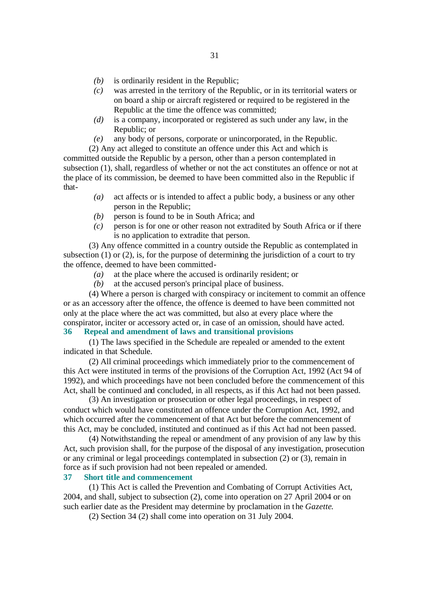- *(b)* is ordinarily resident in the Republic;
- *(c)* was arrested in the territory of the Republic, or in its territorial waters or on board a ship or aircraft registered or required to be registered in the Republic at the time the offence was committed;
- *(d)* is a company, incorporated or registered as such under any law, in the Republic; or
- *(e)* any body of persons, corporate or unincorporated, in the Republic.

(2) Any act alleged to constitute an offence under this Act and which is committed outside the Republic by a person, other than a person contemplated in subsection (1), shall, regardless of whether or not the act constitutes an offence or not at the place of its commission, be deemed to have been committed also in the Republic if that-

- *(a)* act affects or is intended to affect a public body, a business or any other person in the Republic;
- *(b)* person is found to be in South Africa; and
- *(c)* person is for one or other reason not extradited by South Africa or if there is no application to extradite that person.

(3) Any offence committed in a country outside the Republic as contemplated in subsection (1) or (2), is, for the purpose of determining the jurisdiction of a court to try the offence, deemed to have been committed-

- *(a)* at the place where the accused is ordinarily resident; or
- *(b)* at the accused person's principal place of business.

(4) Where a person is charged with conspiracy or incitement to commit an offence or as an accessory after the offence, the offence is deemed to have been committed not only at the place where the act was committed, but also at every place where the conspirator, inciter or accessory acted or, in case of an omission, should have acted. **36 Repeal and amendment of laws and transitional provisions**

# (1) The laws specified in the Schedule are repealed or amended to the extent

indicated in that Schedule.

(2) All criminal proceedings which immediately prior to the commencement of this Act were instituted in terms of the provisions of the Corruption Act, 1992 (Act 94 of 1992), and which proceedings have not been concluded before the commencement of this Act, shall be continued and concluded, in all respects, as if this Act had not been passed.

(3) An investigation or prosecution or other legal proceedings, in respect of conduct which would have constituted an offence under the Corruption Act, 1992, and which occurred after the commencement of that Act but before the commencement of this Act, may be concluded, instituted and continued as if this Act had not been passed.

(4) Notwithstanding the repeal or amendment of any provision of any law by this Act, such provision shall, for the purpose of the disposal of any investigation, prosecution or any criminal or legal proceedings contemplated in subsection (2) or (3), remain in force as if such provision had not been repealed or amended.

#### **37 Short title and commencement**

(1) This Act is called the Prevention and Combating of Corrupt Activities Act, 2004, and shall, subject to subsection (2), come into operation on 27 April 2004 or on such earlier date as the President may determine by proclamation in t he *Gazette*.

(2) Section 34 (2) shall come into operation on 31 July 2004.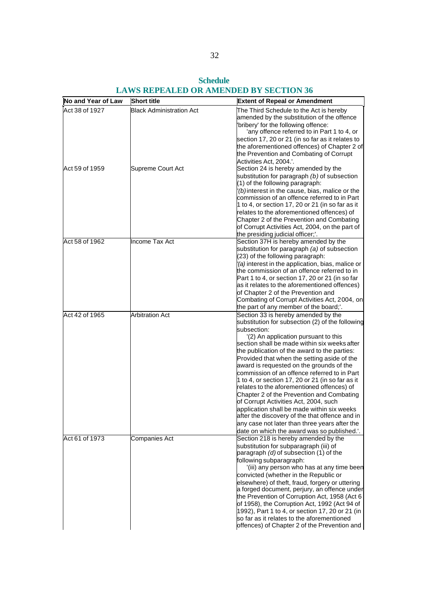**Schedule LAWS REPEALED OR AMENDED BY SECTION 36** 

| No and Year of Law | <b>Short title</b>              | <b>Extent of Repeal or Amendment</b>                                                                                                                                                                                                                                                                                                                                                                                                                                                                                                                                                                                                                                                                                                                                              |
|--------------------|---------------------------------|-----------------------------------------------------------------------------------------------------------------------------------------------------------------------------------------------------------------------------------------------------------------------------------------------------------------------------------------------------------------------------------------------------------------------------------------------------------------------------------------------------------------------------------------------------------------------------------------------------------------------------------------------------------------------------------------------------------------------------------------------------------------------------------|
| Act 38 of 1927     | <b>Black Administration Act</b> | The Third Schedule to the Act is hereby<br>amended by the substitution of the offence<br>'bribery' for the following offence:<br>'any offence referred to in Part 1 to 4, or<br>section 17, 20 or 21 (in so far as it relates to<br>the aforementioned offences) of Chapter 2 of<br>the Prevention and Combating of Corrupt                                                                                                                                                                                                                                                                                                                                                                                                                                                       |
| Act 59 of 1959     | Supreme Court Act               | Activities Act, 2004.'.<br>Section 24 is hereby amended by the<br>substitution for paragraph (b) of subsection<br>(1) of the following paragraph:<br>(b)interest in the cause, bias, malice or the<br>commission of an offence referred to in Part<br>1 to 4, or section 17, 20 or 21 (in so far as it<br>relates to the aforementioned offences) of<br>Chapter 2 of the Prevention and Combating<br>of Corrupt Activities Act, 2004, on the part of<br>the presiding judicial officer;'.                                                                                                                                                                                                                                                                                         |
| Act 58 of 1962     | <b>Income Tax Act</b>           | Section 37H is hereby amended by the<br>substitution for paragraph (a) of subsection<br>(23) of the following paragraph:<br>'(a) interest in the application, bias, malice or<br>the commission of an offence referred to in<br>Part 1 to 4, or section 17, 20 or 21 (in so far<br>as it relates to the aforementioned offences)<br>of Chapter 2 of the Prevention and<br>Combating of Corrupt Activities Act, 2004, on<br>the part of any member of the board;'.                                                                                                                                                                                                                                                                                                                 |
| Act 42 of 1965     | <b>Arbitration Act</b>          | Section 33 is hereby amended by the<br>substitution for subsection (2) of the following<br>subsection:<br>'(2) An application pursuant to this<br>section shall be made within six weeks after<br>the publication of the award to the parties:<br>Provided that when the setting aside of the<br>award is requested on the grounds of the<br>commission of an offence referred to in Part<br>1 to 4, or section 17, 20 or 21 (in so far as it<br>relates to the aforementioned offences) of<br>Chapter 2 of the Prevention and Combating<br>of Corrupt Activities Act, 2004, such<br>application shall be made within six weeks<br>after the discovery of the that offence and in<br>any case not later than three years after the<br>date on which the award was so published.'. |
| Act 61 of 1973     | Companies Act                   | Section 218 is hereby amended by the<br>substitution for subparagraph (iii) of<br>paragraph $(d)$ of subsection $(1)$ of the<br>following subparagraph:<br>'(iii) any person who has at any time been<br>convicted (whether in the Republic or<br>elsewhere) of theft, fraud, forgery or uttering<br>a forged document, perjury, an offence under<br>the Prevention of Corruption Act, 1958 (Act 6<br>of 1958), the Corruption Act, 1992 (Act 94 of<br>1992), Part 1 to 4, or section 17, 20 or 21 (in<br>so far as it relates to the aforementioned<br>offences) of Chapter 2 of the Prevention and                                                                                                                                                                              |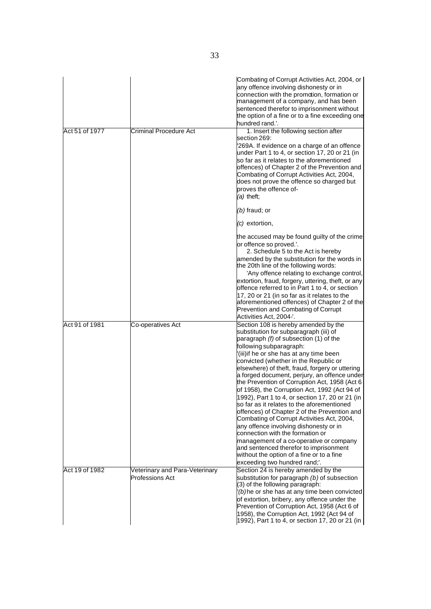|                |                                                          | Combating of Corrupt Activities Act, 2004, or<br>any offence involving dishonesty or in<br>connection with the promotion, formation or<br>management of a company, and has been<br>sentenced therefor to imprisonment without<br>the option of a fine or to a fine exceeding one<br>hundred rand.'.                                                                                                                                                                                                                                                                                                                                                                                                                                                                                                                                                                                         |
|----------------|----------------------------------------------------------|---------------------------------------------------------------------------------------------------------------------------------------------------------------------------------------------------------------------------------------------------------------------------------------------------------------------------------------------------------------------------------------------------------------------------------------------------------------------------------------------------------------------------------------------------------------------------------------------------------------------------------------------------------------------------------------------------------------------------------------------------------------------------------------------------------------------------------------------------------------------------------------------|
| Act 51 of 1977 | Criminal Procedure Act                                   | 1. Insert the following section after<br>section 269:<br>269A. If evidence on a charge of an offence<br>under Part 1 to 4, or section 17, 20 or 21 (in<br>so far as it relates to the aforementioned<br>offences) of Chapter 2 of the Prevention and<br>Combating of Corrupt Activities Act, 2004,<br>does not prove the offence so charged but<br>proves the offence of-<br>$(a)$ theft:                                                                                                                                                                                                                                                                                                                                                                                                                                                                                                   |
|                |                                                          | (b) fraud; or                                                                                                                                                                                                                                                                                                                                                                                                                                                                                                                                                                                                                                                                                                                                                                                                                                                                               |
|                |                                                          | (c) extortion,                                                                                                                                                                                                                                                                                                                                                                                                                                                                                                                                                                                                                                                                                                                                                                                                                                                                              |
|                |                                                          | the accused may be found guilty of the crime<br>or offence so proved.'.<br>2. Schedule 5 to the Act is hereby<br>amended by the substitution for the words in<br>the 20th line of the following words:<br>'Any offence relating to exchange control,<br>extortion, fraud, forgery, uttering, theft, or any<br>offence referred to in Part 1 to 4, or section<br>17, 20 or 21 (in so far as it relates to the<br>aforementioned offences) of Chapter 2 of the<br>Prevention and Combating of Corrupt<br>Activities Act, 2004-'.                                                                                                                                                                                                                                                                                                                                                              |
| Act 91 of 1981 | Co-operatives Act                                        | Section 108 is hereby amended by the<br>substitution for subparagraph (iii) of<br>paragraph (f) of subsection (1) of the<br>following subparagraph:<br>(iii)if he or she has at any time been<br>convicted (whether in the Republic or<br>elsewhere) of theft, fraud, forgery or uttering<br>a forged document, perjury, an offence under<br>the Prevention of Corruption Act, 1958 (Act 6<br>of 1958), the Corruption Act, 1992 (Act 94 of<br>1992), Part 1 to 4, or section 17, 20 or 21 (in<br>so far as it relates to the aforementioned<br>offences) of Chapter 2 of the Prevention and<br>Combating of Corrupt Activities Act, 2004,<br>any offence involving dishonesty or in<br>connection with the formation or<br>management of a co-operative or company<br>and sentenced therefor to imprisonment<br>without the option of a fine or to a fine<br>exceeding two hundred rand;'. |
| Act 19 of 1982 | Veterinary and Para-Veterinary<br><b>Professions Act</b> | Section 24 is hereby amended by the<br>substitution for paragraph (b) of subsection<br>(3) of the following paragraph:<br>(b) he or she has at any time been convicted<br>of extortion, bribery, any offence under the<br>Prevention of Corruption Act, 1958 (Act 6 of<br>1958), the Corruption Act, 1992 (Act 94 of<br>1992), Part 1 to 4, or section 17, 20 or 21 (in                                                                                                                                                                                                                                                                                                                                                                                                                                                                                                                     |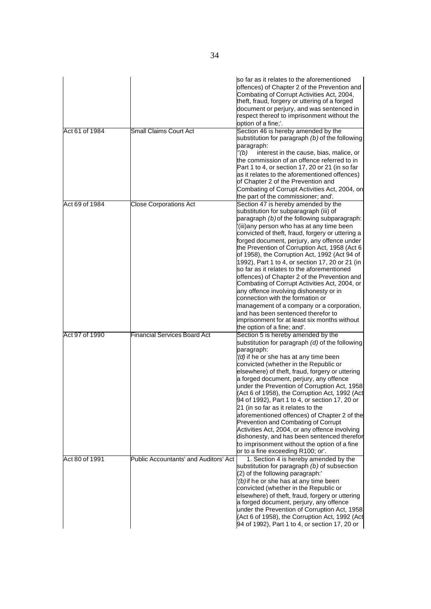|                |                                       | so far as it relates to the aforementioned<br>offences) of Chapter 2 of the Prevention and<br>Combating of Corrupt Activities Act, 2004,<br>theft, fraud, forgery or uttering of a forged<br>document or perjury, and was sentenced in<br>respect thereof to imprisonment without the<br>option of a fine;'.                                                                                                                                                                                                                                                                                                                                                                                                                                                                                                                      |
|----------------|---------------------------------------|-----------------------------------------------------------------------------------------------------------------------------------------------------------------------------------------------------------------------------------------------------------------------------------------------------------------------------------------------------------------------------------------------------------------------------------------------------------------------------------------------------------------------------------------------------------------------------------------------------------------------------------------------------------------------------------------------------------------------------------------------------------------------------------------------------------------------------------|
| Act 61 of 1984 | Small Claims Court Act                | Section 46 is hereby amended by the<br>substitution for paragraph (b) of the following<br>paragraph:<br>"(b)<br>interest in the cause, bias, malice, or<br>the commission of an offence referred to in<br>Part 1 to 4, or section 17, 20 or 21 (in so far<br>as it relates to the aforementioned offences)<br>of Chapter 2 of the Prevention and<br>Combating of Corrupt Activities Act, 2004, on<br>the part of the commissioner; and'.                                                                                                                                                                                                                                                                                                                                                                                          |
| Act 69 of 1984 | <b>Close Corporations Act</b>         | Section 47 is hereby amended by the<br>substitution for subparagraph (iii) of<br>paragraph (b) of the following subparagraph:<br>(iii) any person who has at any time been<br>convicted of theft, fraud, forgery or uttering a<br>forged document, perjury, any offence under<br>the Prevention of Corruption Act, 1958 (Act 6<br>of 1958), the Corruption Act, 1992 (Act 94 of<br>1992), Part 1 to 4, or section 17, 20 or 21 (in<br>so far as it relates to the aforementioned<br>offences) of Chapter 2 of the Prevention and<br>Combating of Corrupt Activities Act, 2004, or<br>any offence involving dishonesty or in<br>connection with the formation or<br>management of a company or a corporation,<br>and has been sentenced therefor to<br>imprisonment for at least six months without<br>the option of a fine; and'. |
| Act 97 of 1990 | Financial Services Board Act          | Section 5 is hereby amended by the<br>substitution for paragraph (d) of the following<br>paragraph:<br>(d) if he or she has at any time been<br>convicted (whether in the Republic or<br>elsewhere) of theft, fraud, forgery or uttering<br>a forged document, perjury, any offence<br>under the Prevention of Corruption Act, 1958<br>(Act 6 of 1958), the Corruption Act, 1992 (Act<br>94 of 1992), Part 1 to 4, or section 17, 20 or<br>21 (in so far as it relates to the<br>aforementioned offences) of Chapter 2 of the<br>Prevention and Combating of Corrupt<br>Activities Act, 2004, or any offence involving<br>dishonesty, and has been sentenced therefor<br>to imprisonment without the option of a fine<br>or to a fine exceeding R100; or'.                                                                        |
| Act 80 of 1991 | Public Accountants' and Auditors' Act | 1. Section 4 is hereby amended by the<br>substitution for paragraph (b) of subsection<br>(2) of the following paragraph:'<br>(b) if he or she has at any time been<br>convicted (whether in the Republic or<br>elsewhere) of theft, fraud, forgery or uttering<br>a forged document, perjury, any offence<br>under the Prevention of Corruption Act, 1958<br>(Act 6 of 1958), the Corruption Act, 1992 (Act<br>94 of 1992), Part 1 to 4, or section 17, 20 or                                                                                                                                                                                                                                                                                                                                                                     |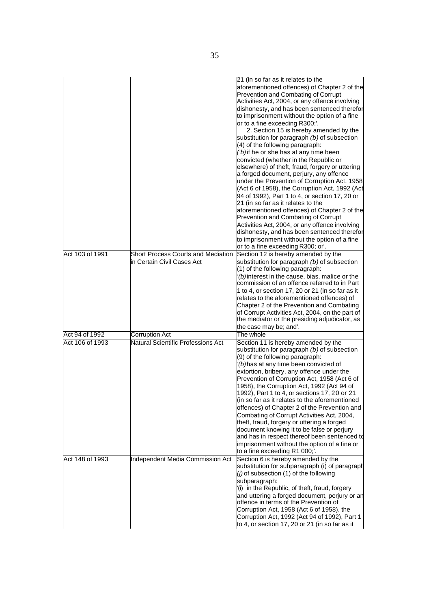|                 |                                                                         | 21 (in so far as it relates to the<br>aforementioned offences) of Chapter 2 of the<br>Prevention and Combating of Corrupt<br>Activities Act, 2004, or any offence involving<br>dishonesty, and has been sentenced therefor<br>to imprisonment without the option of a fine<br>or to a fine exceeding R300;'.<br>2. Section 15 is hereby amended by the<br>substitution for paragraph (b) of subsection<br>(4) of the following paragraph:<br>('b) if he or she has at any time been<br>convicted (whether in the Republic or<br>elsewhere) of theft, fraud, forgery or uttering<br>a forged document, perjury, any offence<br>under the Prevention of Corruption Act, 1958<br>(Act 6 of 1958), the Corruption Act, 1992 (Act<br>94 of 1992), Part 1 to 4, or section 17, 20 or<br>21 (in so far as it relates to the<br>aforementioned offences) of Chapter 2 of the<br>Prevention and Combating of Corrupt<br>Activities Act, 2004, or any offence involving<br>dishonesty, and has been sentenced therefor<br>to imprisonment without the option of a fine |
|-----------------|-------------------------------------------------------------------------|--------------------------------------------------------------------------------------------------------------------------------------------------------------------------------------------------------------------------------------------------------------------------------------------------------------------------------------------------------------------------------------------------------------------------------------------------------------------------------------------------------------------------------------------------------------------------------------------------------------------------------------------------------------------------------------------------------------------------------------------------------------------------------------------------------------------------------------------------------------------------------------------------------------------------------------------------------------------------------------------------------------------------------------------------------------|
| Act 103 of 1991 | <b>Short Process Courts and Mediation</b><br>in Certain Civil Cases Act | or to a fine exceeding R300; or'.<br>Section 12 is hereby amended by the<br>substitution for paragraph (b) of subsection<br>(1) of the following paragraph:<br>(b)interest in the cause, bias, malice or the<br>commission of an offence referred to in Part<br>1 to 4, or section 17, 20 or 21 (in so far as it<br>relates to the aforementioned offences) of<br>Chapter 2 of the Prevention and Combating<br>of Corrupt Activities Act, 2004, on the part of                                                                                                                                                                                                                                                                                                                                                                                                                                                                                                                                                                                               |
|                 |                                                                         | the mediator or the presiding adjudicator, as<br>the case may be; and'.                                                                                                                                                                                                                                                                                                                                                                                                                                                                                                                                                                                                                                                                                                                                                                                                                                                                                                                                                                                      |
| Act 94 of 1992  | Corruption Act                                                          | The whole                                                                                                                                                                                                                                                                                                                                                                                                                                                                                                                                                                                                                                                                                                                                                                                                                                                                                                                                                                                                                                                    |
| Act 106 of 1993 | Natural Scientific Professions Act                                      | Section 11 is hereby amended by the<br>substitution for paragraph (b) of subsection<br>(9) of the following paragraph:<br>(b) has at any time been convicted of<br>extortion, bribery, any offence under the<br>Prevention of Corruption Act, 1958 (Act 6 of<br>1958), the Corruption Act, 1992 (Act 94 of<br>1992), Part 1 to 4, or sections 17, 20 or 21<br>(in so far as it relates to the aforementioned<br>offences) of Chapter 2 of the Prevention and<br>Combating of Corrupt Activities Act, 2004,<br>theft, fraud, forgery or uttering a forged<br>document knowing it to be false or perjury<br>and has in respect thereof been sentenced to<br>imprisonment without the option of a fine or<br>to a fine exceeding R1 000;'.                                                                                                                                                                                                                                                                                                                      |
| Act 148 of 1993 | <b>Independent Media Commission Act</b>                                 | Section 6 is hereby amended by the<br>substitution for subparagraph (i) of paragraph<br>$(j)$ of subsection (1) of the following<br>subparagraph:<br>(i) in the Republic, of theft, fraud, forgery<br>and uttering a forged document, perjury or an<br>offence in terms of the Prevention of<br>Corruption Act, 1958 (Act 6 of 1958), the<br>Corruption Act, 1992 (Act 94 of 1992), Part 1<br>to 4, or section 17, 20 or 21 (in so far as it                                                                                                                                                                                                                                                                                                                                                                                                                                                                                                                                                                                                                 |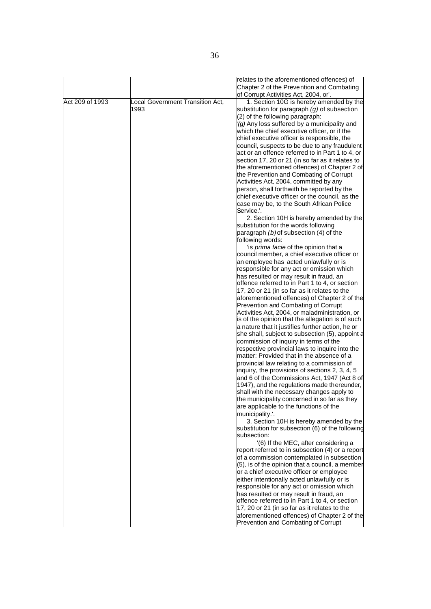| Act 209 of 1993<br>ocal Government Transition Act,<br>1. Section 10G is hereby amended by the<br>1993<br>substitution for paragraph $(g)$ of subsection<br>(2) of the following paragraph:<br>(g) Any loss suffered by a municipality and<br>which the chief executive officer, or if the<br>chief executive officer is responsible, the<br>council, suspects to be due to any fraudulent<br>act or an offence referred to in Part 1 to 4, or<br>the aforementioned offences) of Chapter 2 of<br>the Prevention and Combating of Corrupt<br>Activities Act, 2004, committed by any<br>person, shall forthwith be reported by the<br>chief executive officer or the council, as the<br>case may be, to the South African Police<br>Service.'.<br>2. Section 10H is hereby amended by the<br>substitution for the words following<br>paragraph (b) of subsection (4) of the<br>following words:<br>'is <i>prima facie</i> of the opinion that a<br>council member, a chief executive officer or<br>an employee has acted unlawfully or is<br>responsible for any act or omission which<br>has resulted or may result in fraud, an<br>offence referred to in Part 1 to 4, or section<br>17, 20 or 21 (in so far as it relates to the<br>aforementioned offences) of Chapter 2 of the<br>Prevention and Combating of Corrupt<br>Activities Act, 2004, or maladministration, or<br>is of the opinion that the allegation is of such<br>a nature that it justifies further action, he or<br>she shall, subject to subsection (5), appoint a<br>commission of inquiry in terms of the<br>respective provincial laws to inquire into the<br>matter: Provided that in the absence of a<br>provincial law relating to a commission of<br>inquiry, the provisions of sections 2, 3, 4, 5<br>and 6 of the Commissions Act, 1947 (Act 8 of<br>1947), and the regulations made thereunder,<br>shall with the necessary changes apply to<br>the municipality concerned in so far as they<br>are applicable to the functions of the<br>municipality.'.<br>3. Section 10H is hereby amended by the<br>substitution for subsection (6) of the following<br>subsection:<br>'(6) If the MEC, after considering a<br>report referred to in subsection (4) or a report |  | relates to the aforementioned offences) of<br>Chapter 2 of the Prevention and Combating |
|--------------------------------------------------------------------------------------------------------------------------------------------------------------------------------------------------------------------------------------------------------------------------------------------------------------------------------------------------------------------------------------------------------------------------------------------------------------------------------------------------------------------------------------------------------------------------------------------------------------------------------------------------------------------------------------------------------------------------------------------------------------------------------------------------------------------------------------------------------------------------------------------------------------------------------------------------------------------------------------------------------------------------------------------------------------------------------------------------------------------------------------------------------------------------------------------------------------------------------------------------------------------------------------------------------------------------------------------------------------------------------------------------------------------------------------------------------------------------------------------------------------------------------------------------------------------------------------------------------------------------------------------------------------------------------------------------------------------------------------------------------------------------------------------------------------------------------------------------------------------------------------------------------------------------------------------------------------------------------------------------------------------------------------------------------------------------------------------------------------------------------------------------------------------------------------------------------------------------------------------------|--|-----------------------------------------------------------------------------------------|
|                                                                                                                                                                                                                                                                                                                                                                                                                                                                                                                                                                                                                                                                                                                                                                                                                                                                                                                                                                                                                                                                                                                                                                                                                                                                                                                                                                                                                                                                                                                                                                                                                                                                                                                                                                                                                                                                                                                                                                                                                                                                                                                                                                                                                                                  |  | of Corrupt Activities Act, 2004, or'.                                                   |
|                                                                                                                                                                                                                                                                                                                                                                                                                                                                                                                                                                                                                                                                                                                                                                                                                                                                                                                                                                                                                                                                                                                                                                                                                                                                                                                                                                                                                                                                                                                                                                                                                                                                                                                                                                                                                                                                                                                                                                                                                                                                                                                                                                                                                                                  |  |                                                                                         |
|                                                                                                                                                                                                                                                                                                                                                                                                                                                                                                                                                                                                                                                                                                                                                                                                                                                                                                                                                                                                                                                                                                                                                                                                                                                                                                                                                                                                                                                                                                                                                                                                                                                                                                                                                                                                                                                                                                                                                                                                                                                                                                                                                                                                                                                  |  |                                                                                         |
|                                                                                                                                                                                                                                                                                                                                                                                                                                                                                                                                                                                                                                                                                                                                                                                                                                                                                                                                                                                                                                                                                                                                                                                                                                                                                                                                                                                                                                                                                                                                                                                                                                                                                                                                                                                                                                                                                                                                                                                                                                                                                                                                                                                                                                                  |  |                                                                                         |
|                                                                                                                                                                                                                                                                                                                                                                                                                                                                                                                                                                                                                                                                                                                                                                                                                                                                                                                                                                                                                                                                                                                                                                                                                                                                                                                                                                                                                                                                                                                                                                                                                                                                                                                                                                                                                                                                                                                                                                                                                                                                                                                                                                                                                                                  |  |                                                                                         |
|                                                                                                                                                                                                                                                                                                                                                                                                                                                                                                                                                                                                                                                                                                                                                                                                                                                                                                                                                                                                                                                                                                                                                                                                                                                                                                                                                                                                                                                                                                                                                                                                                                                                                                                                                                                                                                                                                                                                                                                                                                                                                                                                                                                                                                                  |  |                                                                                         |
|                                                                                                                                                                                                                                                                                                                                                                                                                                                                                                                                                                                                                                                                                                                                                                                                                                                                                                                                                                                                                                                                                                                                                                                                                                                                                                                                                                                                                                                                                                                                                                                                                                                                                                                                                                                                                                                                                                                                                                                                                                                                                                                                                                                                                                                  |  |                                                                                         |
|                                                                                                                                                                                                                                                                                                                                                                                                                                                                                                                                                                                                                                                                                                                                                                                                                                                                                                                                                                                                                                                                                                                                                                                                                                                                                                                                                                                                                                                                                                                                                                                                                                                                                                                                                                                                                                                                                                                                                                                                                                                                                                                                                                                                                                                  |  |                                                                                         |
|                                                                                                                                                                                                                                                                                                                                                                                                                                                                                                                                                                                                                                                                                                                                                                                                                                                                                                                                                                                                                                                                                                                                                                                                                                                                                                                                                                                                                                                                                                                                                                                                                                                                                                                                                                                                                                                                                                                                                                                                                                                                                                                                                                                                                                                  |  |                                                                                         |
|                                                                                                                                                                                                                                                                                                                                                                                                                                                                                                                                                                                                                                                                                                                                                                                                                                                                                                                                                                                                                                                                                                                                                                                                                                                                                                                                                                                                                                                                                                                                                                                                                                                                                                                                                                                                                                                                                                                                                                                                                                                                                                                                                                                                                                                  |  | section 17, 20 or 21 (in so far as it relates to                                        |
|                                                                                                                                                                                                                                                                                                                                                                                                                                                                                                                                                                                                                                                                                                                                                                                                                                                                                                                                                                                                                                                                                                                                                                                                                                                                                                                                                                                                                                                                                                                                                                                                                                                                                                                                                                                                                                                                                                                                                                                                                                                                                                                                                                                                                                                  |  |                                                                                         |
|                                                                                                                                                                                                                                                                                                                                                                                                                                                                                                                                                                                                                                                                                                                                                                                                                                                                                                                                                                                                                                                                                                                                                                                                                                                                                                                                                                                                                                                                                                                                                                                                                                                                                                                                                                                                                                                                                                                                                                                                                                                                                                                                                                                                                                                  |  |                                                                                         |
|                                                                                                                                                                                                                                                                                                                                                                                                                                                                                                                                                                                                                                                                                                                                                                                                                                                                                                                                                                                                                                                                                                                                                                                                                                                                                                                                                                                                                                                                                                                                                                                                                                                                                                                                                                                                                                                                                                                                                                                                                                                                                                                                                                                                                                                  |  |                                                                                         |
|                                                                                                                                                                                                                                                                                                                                                                                                                                                                                                                                                                                                                                                                                                                                                                                                                                                                                                                                                                                                                                                                                                                                                                                                                                                                                                                                                                                                                                                                                                                                                                                                                                                                                                                                                                                                                                                                                                                                                                                                                                                                                                                                                                                                                                                  |  |                                                                                         |
|                                                                                                                                                                                                                                                                                                                                                                                                                                                                                                                                                                                                                                                                                                                                                                                                                                                                                                                                                                                                                                                                                                                                                                                                                                                                                                                                                                                                                                                                                                                                                                                                                                                                                                                                                                                                                                                                                                                                                                                                                                                                                                                                                                                                                                                  |  |                                                                                         |
|                                                                                                                                                                                                                                                                                                                                                                                                                                                                                                                                                                                                                                                                                                                                                                                                                                                                                                                                                                                                                                                                                                                                                                                                                                                                                                                                                                                                                                                                                                                                                                                                                                                                                                                                                                                                                                                                                                                                                                                                                                                                                                                                                                                                                                                  |  |                                                                                         |
|                                                                                                                                                                                                                                                                                                                                                                                                                                                                                                                                                                                                                                                                                                                                                                                                                                                                                                                                                                                                                                                                                                                                                                                                                                                                                                                                                                                                                                                                                                                                                                                                                                                                                                                                                                                                                                                                                                                                                                                                                                                                                                                                                                                                                                                  |  |                                                                                         |
|                                                                                                                                                                                                                                                                                                                                                                                                                                                                                                                                                                                                                                                                                                                                                                                                                                                                                                                                                                                                                                                                                                                                                                                                                                                                                                                                                                                                                                                                                                                                                                                                                                                                                                                                                                                                                                                                                                                                                                                                                                                                                                                                                                                                                                                  |  |                                                                                         |
|                                                                                                                                                                                                                                                                                                                                                                                                                                                                                                                                                                                                                                                                                                                                                                                                                                                                                                                                                                                                                                                                                                                                                                                                                                                                                                                                                                                                                                                                                                                                                                                                                                                                                                                                                                                                                                                                                                                                                                                                                                                                                                                                                                                                                                                  |  |                                                                                         |
|                                                                                                                                                                                                                                                                                                                                                                                                                                                                                                                                                                                                                                                                                                                                                                                                                                                                                                                                                                                                                                                                                                                                                                                                                                                                                                                                                                                                                                                                                                                                                                                                                                                                                                                                                                                                                                                                                                                                                                                                                                                                                                                                                                                                                                                  |  |                                                                                         |
|                                                                                                                                                                                                                                                                                                                                                                                                                                                                                                                                                                                                                                                                                                                                                                                                                                                                                                                                                                                                                                                                                                                                                                                                                                                                                                                                                                                                                                                                                                                                                                                                                                                                                                                                                                                                                                                                                                                                                                                                                                                                                                                                                                                                                                                  |  |                                                                                         |
|                                                                                                                                                                                                                                                                                                                                                                                                                                                                                                                                                                                                                                                                                                                                                                                                                                                                                                                                                                                                                                                                                                                                                                                                                                                                                                                                                                                                                                                                                                                                                                                                                                                                                                                                                                                                                                                                                                                                                                                                                                                                                                                                                                                                                                                  |  |                                                                                         |
|                                                                                                                                                                                                                                                                                                                                                                                                                                                                                                                                                                                                                                                                                                                                                                                                                                                                                                                                                                                                                                                                                                                                                                                                                                                                                                                                                                                                                                                                                                                                                                                                                                                                                                                                                                                                                                                                                                                                                                                                                                                                                                                                                                                                                                                  |  |                                                                                         |
|                                                                                                                                                                                                                                                                                                                                                                                                                                                                                                                                                                                                                                                                                                                                                                                                                                                                                                                                                                                                                                                                                                                                                                                                                                                                                                                                                                                                                                                                                                                                                                                                                                                                                                                                                                                                                                                                                                                                                                                                                                                                                                                                                                                                                                                  |  |                                                                                         |
|                                                                                                                                                                                                                                                                                                                                                                                                                                                                                                                                                                                                                                                                                                                                                                                                                                                                                                                                                                                                                                                                                                                                                                                                                                                                                                                                                                                                                                                                                                                                                                                                                                                                                                                                                                                                                                                                                                                                                                                                                                                                                                                                                                                                                                                  |  |                                                                                         |
|                                                                                                                                                                                                                                                                                                                                                                                                                                                                                                                                                                                                                                                                                                                                                                                                                                                                                                                                                                                                                                                                                                                                                                                                                                                                                                                                                                                                                                                                                                                                                                                                                                                                                                                                                                                                                                                                                                                                                                                                                                                                                                                                                                                                                                                  |  |                                                                                         |
|                                                                                                                                                                                                                                                                                                                                                                                                                                                                                                                                                                                                                                                                                                                                                                                                                                                                                                                                                                                                                                                                                                                                                                                                                                                                                                                                                                                                                                                                                                                                                                                                                                                                                                                                                                                                                                                                                                                                                                                                                                                                                                                                                                                                                                                  |  |                                                                                         |
|                                                                                                                                                                                                                                                                                                                                                                                                                                                                                                                                                                                                                                                                                                                                                                                                                                                                                                                                                                                                                                                                                                                                                                                                                                                                                                                                                                                                                                                                                                                                                                                                                                                                                                                                                                                                                                                                                                                                                                                                                                                                                                                                                                                                                                                  |  |                                                                                         |
|                                                                                                                                                                                                                                                                                                                                                                                                                                                                                                                                                                                                                                                                                                                                                                                                                                                                                                                                                                                                                                                                                                                                                                                                                                                                                                                                                                                                                                                                                                                                                                                                                                                                                                                                                                                                                                                                                                                                                                                                                                                                                                                                                                                                                                                  |  |                                                                                         |
|                                                                                                                                                                                                                                                                                                                                                                                                                                                                                                                                                                                                                                                                                                                                                                                                                                                                                                                                                                                                                                                                                                                                                                                                                                                                                                                                                                                                                                                                                                                                                                                                                                                                                                                                                                                                                                                                                                                                                                                                                                                                                                                                                                                                                                                  |  |                                                                                         |
|                                                                                                                                                                                                                                                                                                                                                                                                                                                                                                                                                                                                                                                                                                                                                                                                                                                                                                                                                                                                                                                                                                                                                                                                                                                                                                                                                                                                                                                                                                                                                                                                                                                                                                                                                                                                                                                                                                                                                                                                                                                                                                                                                                                                                                                  |  |                                                                                         |
|                                                                                                                                                                                                                                                                                                                                                                                                                                                                                                                                                                                                                                                                                                                                                                                                                                                                                                                                                                                                                                                                                                                                                                                                                                                                                                                                                                                                                                                                                                                                                                                                                                                                                                                                                                                                                                                                                                                                                                                                                                                                                                                                                                                                                                                  |  |                                                                                         |
|                                                                                                                                                                                                                                                                                                                                                                                                                                                                                                                                                                                                                                                                                                                                                                                                                                                                                                                                                                                                                                                                                                                                                                                                                                                                                                                                                                                                                                                                                                                                                                                                                                                                                                                                                                                                                                                                                                                                                                                                                                                                                                                                                                                                                                                  |  |                                                                                         |
|                                                                                                                                                                                                                                                                                                                                                                                                                                                                                                                                                                                                                                                                                                                                                                                                                                                                                                                                                                                                                                                                                                                                                                                                                                                                                                                                                                                                                                                                                                                                                                                                                                                                                                                                                                                                                                                                                                                                                                                                                                                                                                                                                                                                                                                  |  |                                                                                         |
|                                                                                                                                                                                                                                                                                                                                                                                                                                                                                                                                                                                                                                                                                                                                                                                                                                                                                                                                                                                                                                                                                                                                                                                                                                                                                                                                                                                                                                                                                                                                                                                                                                                                                                                                                                                                                                                                                                                                                                                                                                                                                                                                                                                                                                                  |  |                                                                                         |
|                                                                                                                                                                                                                                                                                                                                                                                                                                                                                                                                                                                                                                                                                                                                                                                                                                                                                                                                                                                                                                                                                                                                                                                                                                                                                                                                                                                                                                                                                                                                                                                                                                                                                                                                                                                                                                                                                                                                                                                                                                                                                                                                                                                                                                                  |  |                                                                                         |
|                                                                                                                                                                                                                                                                                                                                                                                                                                                                                                                                                                                                                                                                                                                                                                                                                                                                                                                                                                                                                                                                                                                                                                                                                                                                                                                                                                                                                                                                                                                                                                                                                                                                                                                                                                                                                                                                                                                                                                                                                                                                                                                                                                                                                                                  |  |                                                                                         |
|                                                                                                                                                                                                                                                                                                                                                                                                                                                                                                                                                                                                                                                                                                                                                                                                                                                                                                                                                                                                                                                                                                                                                                                                                                                                                                                                                                                                                                                                                                                                                                                                                                                                                                                                                                                                                                                                                                                                                                                                                                                                                                                                                                                                                                                  |  |                                                                                         |
|                                                                                                                                                                                                                                                                                                                                                                                                                                                                                                                                                                                                                                                                                                                                                                                                                                                                                                                                                                                                                                                                                                                                                                                                                                                                                                                                                                                                                                                                                                                                                                                                                                                                                                                                                                                                                                                                                                                                                                                                                                                                                                                                                                                                                                                  |  |                                                                                         |
|                                                                                                                                                                                                                                                                                                                                                                                                                                                                                                                                                                                                                                                                                                                                                                                                                                                                                                                                                                                                                                                                                                                                                                                                                                                                                                                                                                                                                                                                                                                                                                                                                                                                                                                                                                                                                                                                                                                                                                                                                                                                                                                                                                                                                                                  |  |                                                                                         |
|                                                                                                                                                                                                                                                                                                                                                                                                                                                                                                                                                                                                                                                                                                                                                                                                                                                                                                                                                                                                                                                                                                                                                                                                                                                                                                                                                                                                                                                                                                                                                                                                                                                                                                                                                                                                                                                                                                                                                                                                                                                                                                                                                                                                                                                  |  |                                                                                         |
|                                                                                                                                                                                                                                                                                                                                                                                                                                                                                                                                                                                                                                                                                                                                                                                                                                                                                                                                                                                                                                                                                                                                                                                                                                                                                                                                                                                                                                                                                                                                                                                                                                                                                                                                                                                                                                                                                                                                                                                                                                                                                                                                                                                                                                                  |  |                                                                                         |
|                                                                                                                                                                                                                                                                                                                                                                                                                                                                                                                                                                                                                                                                                                                                                                                                                                                                                                                                                                                                                                                                                                                                                                                                                                                                                                                                                                                                                                                                                                                                                                                                                                                                                                                                                                                                                                                                                                                                                                                                                                                                                                                                                                                                                                                  |  |                                                                                         |
|                                                                                                                                                                                                                                                                                                                                                                                                                                                                                                                                                                                                                                                                                                                                                                                                                                                                                                                                                                                                                                                                                                                                                                                                                                                                                                                                                                                                                                                                                                                                                                                                                                                                                                                                                                                                                                                                                                                                                                                                                                                                                                                                                                                                                                                  |  |                                                                                         |
|                                                                                                                                                                                                                                                                                                                                                                                                                                                                                                                                                                                                                                                                                                                                                                                                                                                                                                                                                                                                                                                                                                                                                                                                                                                                                                                                                                                                                                                                                                                                                                                                                                                                                                                                                                                                                                                                                                                                                                                                                                                                                                                                                                                                                                                  |  |                                                                                         |
|                                                                                                                                                                                                                                                                                                                                                                                                                                                                                                                                                                                                                                                                                                                                                                                                                                                                                                                                                                                                                                                                                                                                                                                                                                                                                                                                                                                                                                                                                                                                                                                                                                                                                                                                                                                                                                                                                                                                                                                                                                                                                                                                                                                                                                                  |  |                                                                                         |
|                                                                                                                                                                                                                                                                                                                                                                                                                                                                                                                                                                                                                                                                                                                                                                                                                                                                                                                                                                                                                                                                                                                                                                                                                                                                                                                                                                                                                                                                                                                                                                                                                                                                                                                                                                                                                                                                                                                                                                                                                                                                                                                                                                                                                                                  |  |                                                                                         |
|                                                                                                                                                                                                                                                                                                                                                                                                                                                                                                                                                                                                                                                                                                                                                                                                                                                                                                                                                                                                                                                                                                                                                                                                                                                                                                                                                                                                                                                                                                                                                                                                                                                                                                                                                                                                                                                                                                                                                                                                                                                                                                                                                                                                                                                  |  |                                                                                         |
|                                                                                                                                                                                                                                                                                                                                                                                                                                                                                                                                                                                                                                                                                                                                                                                                                                                                                                                                                                                                                                                                                                                                                                                                                                                                                                                                                                                                                                                                                                                                                                                                                                                                                                                                                                                                                                                                                                                                                                                                                                                                                                                                                                                                                                                  |  |                                                                                         |
|                                                                                                                                                                                                                                                                                                                                                                                                                                                                                                                                                                                                                                                                                                                                                                                                                                                                                                                                                                                                                                                                                                                                                                                                                                                                                                                                                                                                                                                                                                                                                                                                                                                                                                                                                                                                                                                                                                                                                                                                                                                                                                                                                                                                                                                  |  | of a commission contemplated in subsection                                              |
|                                                                                                                                                                                                                                                                                                                                                                                                                                                                                                                                                                                                                                                                                                                                                                                                                                                                                                                                                                                                                                                                                                                                                                                                                                                                                                                                                                                                                                                                                                                                                                                                                                                                                                                                                                                                                                                                                                                                                                                                                                                                                                                                                                                                                                                  |  | (5), is of the opinion that a council, a member                                         |
| or a chief executive officer or employee                                                                                                                                                                                                                                                                                                                                                                                                                                                                                                                                                                                                                                                                                                                                                                                                                                                                                                                                                                                                                                                                                                                                                                                                                                                                                                                                                                                                                                                                                                                                                                                                                                                                                                                                                                                                                                                                                                                                                                                                                                                                                                                                                                                                         |  |                                                                                         |
| either intentionally acted unlawfully or is                                                                                                                                                                                                                                                                                                                                                                                                                                                                                                                                                                                                                                                                                                                                                                                                                                                                                                                                                                                                                                                                                                                                                                                                                                                                                                                                                                                                                                                                                                                                                                                                                                                                                                                                                                                                                                                                                                                                                                                                                                                                                                                                                                                                      |  |                                                                                         |
| responsible for any act or omission which                                                                                                                                                                                                                                                                                                                                                                                                                                                                                                                                                                                                                                                                                                                                                                                                                                                                                                                                                                                                                                                                                                                                                                                                                                                                                                                                                                                                                                                                                                                                                                                                                                                                                                                                                                                                                                                                                                                                                                                                                                                                                                                                                                                                        |  |                                                                                         |
| has resulted or may result in fraud, an                                                                                                                                                                                                                                                                                                                                                                                                                                                                                                                                                                                                                                                                                                                                                                                                                                                                                                                                                                                                                                                                                                                                                                                                                                                                                                                                                                                                                                                                                                                                                                                                                                                                                                                                                                                                                                                                                                                                                                                                                                                                                                                                                                                                          |  |                                                                                         |
| offence referred to in Part 1 to 4, or section                                                                                                                                                                                                                                                                                                                                                                                                                                                                                                                                                                                                                                                                                                                                                                                                                                                                                                                                                                                                                                                                                                                                                                                                                                                                                                                                                                                                                                                                                                                                                                                                                                                                                                                                                                                                                                                                                                                                                                                                                                                                                                                                                                                                   |  |                                                                                         |
| 17, 20 or 21 (in so far as it relates to the                                                                                                                                                                                                                                                                                                                                                                                                                                                                                                                                                                                                                                                                                                                                                                                                                                                                                                                                                                                                                                                                                                                                                                                                                                                                                                                                                                                                                                                                                                                                                                                                                                                                                                                                                                                                                                                                                                                                                                                                                                                                                                                                                                                                     |  |                                                                                         |
|                                                                                                                                                                                                                                                                                                                                                                                                                                                                                                                                                                                                                                                                                                                                                                                                                                                                                                                                                                                                                                                                                                                                                                                                                                                                                                                                                                                                                                                                                                                                                                                                                                                                                                                                                                                                                                                                                                                                                                                                                                                                                                                                                                                                                                                  |  | aforementioned offences) of Chapter 2 of the                                            |
| Prevention and Combating of Corrupt                                                                                                                                                                                                                                                                                                                                                                                                                                                                                                                                                                                                                                                                                                                                                                                                                                                                                                                                                                                                                                                                                                                                                                                                                                                                                                                                                                                                                                                                                                                                                                                                                                                                                                                                                                                                                                                                                                                                                                                                                                                                                                                                                                                                              |  |                                                                                         |
|                                                                                                                                                                                                                                                                                                                                                                                                                                                                                                                                                                                                                                                                                                                                                                                                                                                                                                                                                                                                                                                                                                                                                                                                                                                                                                                                                                                                                                                                                                                                                                                                                                                                                                                                                                                                                                                                                                                                                                                                                                                                                                                                                                                                                                                  |  |                                                                                         |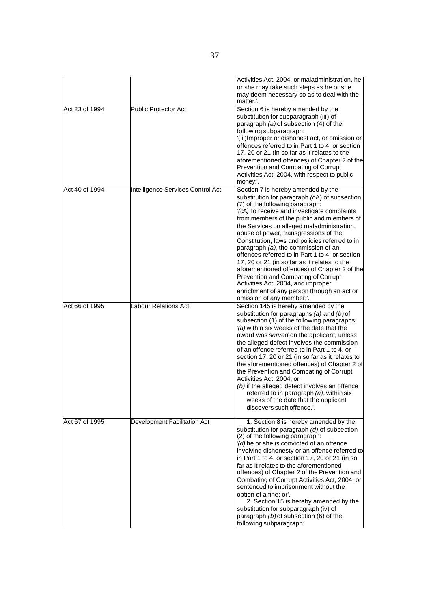|                |                                   | Activities Act, 2004, or maladministration, he<br>or she may take such steps as he or she<br>may deem necessary so as to deal with the<br>matter.'.                                                                                                                                                                                                                                                                                                                                                                                                                                                                                                                                                            |
|----------------|-----------------------------------|----------------------------------------------------------------------------------------------------------------------------------------------------------------------------------------------------------------------------------------------------------------------------------------------------------------------------------------------------------------------------------------------------------------------------------------------------------------------------------------------------------------------------------------------------------------------------------------------------------------------------------------------------------------------------------------------------------------|
| Act 23 of 1994 | <b>Public Protector Act</b>       | Section 6 is hereby amended by the<br>substitution for subparagraph (iii) of<br>paragraph (a) of subsection (4) of the<br>following subparagraph:<br>(iii) Improper or dishonest act, or omission or<br>offences referred to in Part 1 to 4, or section<br>17, 20 or 21 (in so far as it relates to the<br>aforementioned offences) of Chapter 2 of the<br>Prevention and Combating of Corrupt<br>Activities Act, 2004, with respect to public<br>money;'.                                                                                                                                                                                                                                                     |
| Act 40 of 1994 | Intelligence Services Control Act | Section 7 is hereby amended by the<br>substitution for paragraph (cA) of subsection<br>(7) of the following paragraph:<br>'(cA) to receive and investigate complaints<br>from members of the public and m embers of<br>the Services on alleged maladministration,<br>abuse of power, transgressions of the<br>Constitution, laws and policies referred to in<br>paragraph (a), the commission of an<br>offences referred to in Part 1 to 4, or section<br>17, 20 or 21 (in so far as it relates to the<br>aforementioned offences) of Chapter 2 of the<br>Prevention and Combating of Corrupt<br>Activities Act, 2004, and improper<br>enrichment of any person through an act or<br>omission of any member;'. |
| Act 66 of 1995 | <b>abour Relations Act</b>        | Section 145 is hereby amended by the<br>substitution for paragraphs (a) and (b) of<br>subsection (1) of the following paragraphs:<br>'(a) within six weeks of the date that the<br>award was served on the applicant, unless<br>the alleged defect involves the commission<br>of an offence referred to in Part 1 to 4, or<br>section 17, 20 or 21 (in so far as it relates to<br>the aforementioned offences) of Chapter 2 of<br>the Prevention and Combating of Corrupt<br>Activities Act, 2004; or<br>(b) if the alleged defect involves an offence<br>referred to in paragraph (a), within six<br>weeks of the date that the applicant<br>discovers such offence.'.                                        |
| Act 67 of 1995 | Development Facilitation Act      | 1. Section 8 is hereby amended by the<br>substitution for paragraph (d) of subsection<br>(2) of the following paragraph:<br>(d) he or she is convicted of an offence<br>involving dishonesty or an offence referred to<br>in Part 1 to 4, or section 17, 20 or 21 (in so<br>far as it relates to the aforementioned<br>offences) of Chapter 2 of the Prevention and<br>Combating of Corrupt Activities Act, 2004, or<br>sentenced to imprisonment without the<br>option of a fine; or'.<br>2. Section 15 is hereby amended by the<br>substitution for subparagraph (iv) of<br>paragraph (b) of subsection (6) of the<br>following subparagraph:                                                                |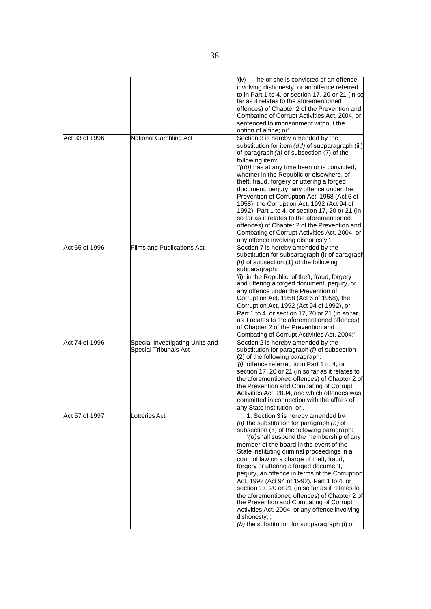|                |                                                                 | he or she is convicted of an offence<br>'(iv)<br>involving dishonesty, or an offence referred<br>to in Part 1 to 4, or section 17, 20 or 21 (in so<br>far as it relates to the aforementioned<br>offences) of Chapter 2 of the Prevention and<br>Combating of Corrupt Activities Act, 2004, or<br>sentenced to imprisonment without the<br>option of a fine; or'.                                                                                                                                                                                                                                                                                                                                                                |
|----------------|-----------------------------------------------------------------|----------------------------------------------------------------------------------------------------------------------------------------------------------------------------------------------------------------------------------------------------------------------------------------------------------------------------------------------------------------------------------------------------------------------------------------------------------------------------------------------------------------------------------------------------------------------------------------------------------------------------------------------------------------------------------------------------------------------------------|
| Act 33 of 1996 | National Gambling Act                                           | Section 3 is hereby amended by the<br>substitution for item (dd) of subparagraph (iii)<br>of paragraph $(a)$ of subsection $(7)$ of the<br>following item:<br>"(dd) has at any time been or is convicted,<br>whether in the Republic or elsewhere, of<br>theft, fraud, forgery or uttering a forged<br>document, perjury, any offence under the<br>Prevention of Corruption Act, 1958 (Act 6 of<br>1958), the Corruption Act, 1992 (Act 94 of<br>1992), Part 1 to 4, or section 17, 20 or 21 (in<br>so far as it relates to the aforementioned<br>offences) of Chapter 2 of the Prevention and<br>Combating of Corrupt Activities Act, 2004, or<br>any offence involving dishonesty.'.                                           |
| Act 65 of 1996 | <b>Films and Publications Act</b>                               | Section 7 is hereby amended by the<br>substitution for subparagraph (i) of paragraph<br>$(h)$ of subsection (1) of the following<br>subparagraph:<br>(i) in the Republic, of theft, fraud, forgery<br>and uttering a forged document, perjury, or<br>any offence under the Prevention of<br>Corruption Act, 1958 (Act 6 of 1958), the<br>Corruption Act, 1992 (Act 94 of 1992), or<br>Part 1 to 4, or section 17, 20 or 21 (in so far<br>as it relates to the aforementioned offences)<br>of Chapter 2 of the Prevention and<br>Combating of Corrupt Activities Act, 2004;'.                                                                                                                                                     |
| Act 74 of 1996 | Special Investigating Units and<br><b>Special Tribunals Act</b> | Section 2 is hereby amended by the<br>substitution for paragraph (f) of subsection<br>(2) of the following paragraph:<br>(f) offence referred to in Part 1 to 4, or<br>section 17, 20 or 21 (in so far as it relates to<br>the aforementioned offences) of Chapter 2 of<br>the Prevention and Combating of Corrupt<br>Activities Act, 2004, and which offences was<br>committed in connection with the affairs of<br>any State institution; or'.                                                                                                                                                                                                                                                                                 |
| Act 57 of 1997 | Lotteries Act                                                   | 1. Section 3 is hereby amended by-<br>(a) the substitution for paragraph $(b)$ of<br>subsection (5) of the following paragraph:<br>'(b)shall suspend the membership of any<br>member of the board in the event of the<br>State instituting criminal proceedings in a<br>court of law on a charge of theft, fraud,<br>forgery or uttering a forged document,<br>perjury, an offence in terms of the Corruption<br>Act, 1992 (Act 94 of 1992), Part 1 to 4, or<br>section 17, 20 or 21 (in so far as it relates to<br>the aforementioned offences) of Chapter 2 of<br>the Prevention and Combating of Corrupt<br>Activities Act, 2004, or any offence involving<br>dishonesty;';<br>$(b)$ the substitution for subparagraph (i) of |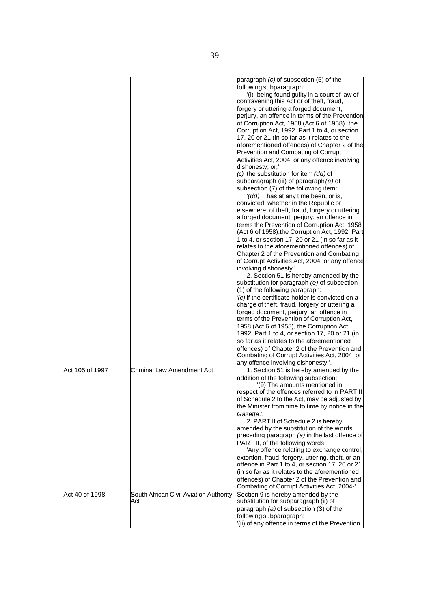|                 |                                        | paragraph $(c)$ of subsection $(5)$ of the                                                      |
|-----------------|----------------------------------------|-------------------------------------------------------------------------------------------------|
|                 |                                        | following subparagraph:<br>'(i) being found guilty in a court of law of                         |
|                 |                                        | contravening this Act or of theft, fraud,<br>forgery or uttering a forged document,             |
|                 |                                        | perjury, an offence in terms of the Prevention                                                  |
|                 |                                        | of Corruption Act, 1958 (Act 6 of 1958), the<br>Corruption Act, 1992, Part 1 to 4, or section   |
|                 |                                        | 17, 20 or 21 (in so far as it relates to the                                                    |
|                 |                                        | aforementioned offences) of Chapter 2 of the                                                    |
|                 |                                        | Prevention and Combating of Corrupt<br>Activities Act, 2004, or any offence involving           |
|                 |                                        | dishonesty; or;';                                                                               |
|                 |                                        | (c) the substitution for item (dd) of                                                           |
|                 |                                        | subparagraph (iii) of paragraph (a) of                                                          |
|                 |                                        | subsection (7) of the following item:<br>'(dd) has at any time been, or is,                     |
|                 |                                        | convicted, whether in the Republic or                                                           |
|                 |                                        | elsewhere, of theft, fraud, forgery or uttering                                                 |
|                 |                                        | a forged document, perjury, an offence in<br>terms the Prevention of Corruption Act, 1958       |
|                 |                                        | (Act 6 of 1958), the Corruption Act, 1992, Part                                                 |
|                 |                                        | 1 to 4, or section 17, 20 or 21 (in so far as it                                                |
|                 |                                        | relates to the aforementioned offences) of<br>Chapter 2 of the Prevention and Combating         |
|                 |                                        | of Corrupt Activities Act, 2004, or any offence                                                 |
|                 |                                        | involving dishonesty.'.                                                                         |
|                 |                                        | 2. Section 51 is hereby amended by the<br>substitution for paragraph (e) of subsection          |
|                 |                                        | (1) of the following paragraph:                                                                 |
|                 |                                        | '(e) if the certificate holder is convicted on a                                                |
|                 |                                        | charge of theft, fraud, forgery or uttering a<br>forged document, perjury, an offence in        |
|                 |                                        | terms of the Prevention of Corruption Act,                                                      |
|                 |                                        | 1958 (Act 6 of 1958), the Corruption Act,<br>1992, Part 1 to 4, or section 17, 20 or 21 (in     |
|                 |                                        | so far as it relates to the aforementioned                                                      |
|                 |                                        | offences) of Chapter 2 of the Prevention and                                                    |
|                 |                                        | Combating of Corrupt Activities Act, 2004, or                                                   |
| Act 105 of 1997 | Criminal Law Amendment Act             | any offence involving dishonesty.'.<br>1. Section 51 is hereby amended by the                   |
|                 |                                        | addition of the following subsection:                                                           |
|                 |                                        | '(9) The amounts mentioned in                                                                   |
|                 |                                        | respect of the offences referred to in PART II<br>of Schedule 2 to the Act, may be adjusted by  |
|                 |                                        | the Minister from time to time by notice in the                                                 |
|                 |                                        | Gazette.'.                                                                                      |
|                 |                                        | 2. PART II of Schedule 2 is hereby<br>amended by the substitution of the words                  |
|                 |                                        | preceding paragraph (a) in the last offence of                                                  |
|                 |                                        | PART II, of the following words:                                                                |
|                 |                                        | 'Any offence relating to exchange control,<br>extortion, fraud, forgery, uttering, theft, or an |
|                 |                                        | offence in Part 1 to 4, or section 17, 20 or 21                                                 |
|                 |                                        | (in so far as it relates to the aforementioned                                                  |
|                 |                                        | offences) of Chapter 2 of the Prevention and<br>Combating of Corrupt Activities Act, 2004-'.    |
| Act 40 of 1998  | South African Civil Aviation Authority | Section 9 is hereby amended by the                                                              |
|                 | Act                                    | substitution for subparagraph (ii) of<br>paragraph (a) of subsection (3) of the                 |
|                 |                                        | following subparagraph:                                                                         |
|                 |                                        | (ii) of any offence in terms of the Prevention                                                  |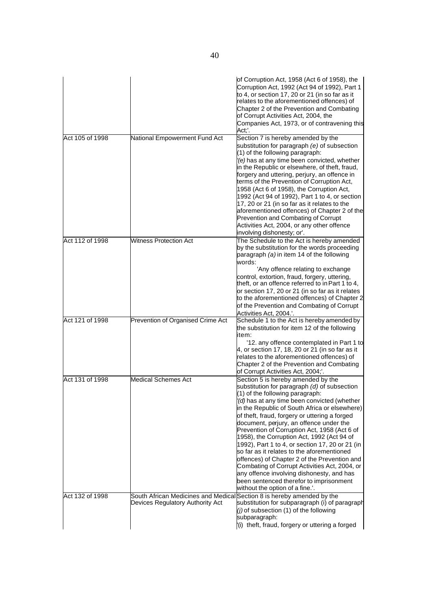|                 |                                   | of Corruption Act, 1958 (Act 6 of 1958), the<br>Corruption Act, 1992 (Act 94 of 1992), Part 1<br>to 4, or section 17, 20 or 21 (in so far as it<br>relates to the aforementioned offences) of<br>Chapter 2 of the Prevention and Combating<br>of Corrupt Activities Act, 2004, the<br>Companies Act, 1973, or of contravening this<br>Act:'.                                                                                                                                                                                                                                                                                                                                                                                                 |
|-----------------|-----------------------------------|----------------------------------------------------------------------------------------------------------------------------------------------------------------------------------------------------------------------------------------------------------------------------------------------------------------------------------------------------------------------------------------------------------------------------------------------------------------------------------------------------------------------------------------------------------------------------------------------------------------------------------------------------------------------------------------------------------------------------------------------|
| Act 105 of 1998 | National Empowerment Fund Act     | Section 7 is hereby amended by the<br>substitution for paragraph (e) of subsection<br>(1) of the following paragraph:<br>'(e) has at any time been convicted, whether<br>in the Republic or elsewhere, of theft, fraud,<br>forgery and uttering, perjury, an offence in<br>terms of the Prevention of Corruption Act,<br>1958 (Act 6 of 1958), the Corruption Act,<br>1992 (Act 94 of 1992), Part 1 to 4, or section<br>17, 20 or 21 (in so far as it relates to the<br>aforementioned offences) of Chapter 2 of the<br>Prevention and Combating of Corrupt<br>Activities Act, 2004, or any other offence<br>involving dishonesty; or'.                                                                                                      |
| Act 112 of 1998 | <b>Witness Protection Act</b>     | The Schedule to the Act is hereby amended<br>by the substitution for the words proceeding<br>paragraph (a) in item 14 of the following<br>words:<br>'Any offence relating to exchange<br>control, extortion, fraud, forgery, uttering,<br>theft, or an offence referred to in Part 1 to 4,<br>or section 17, 20 or 21 (in so far as it relates<br>to the aforementioned offences) of Chapter 2                                                                                                                                                                                                                                                                                                                                               |
| Act 121 of 1998 | Prevention of Organised Crime Act | of the Prevention and Combating of Corrupt<br>Activities Act, 2004.'.<br>Schedule 1 to the Act is hereby amended by<br>the substitution for item 12 of the following<br>litem:                                                                                                                                                                                                                                                                                                                                                                                                                                                                                                                                                               |
|                 |                                   | '12. any offence contemplated in Part 1 to<br>4, or section 17, 18, 20 or 21 (in so far as it<br>relates to the aforementioned offences) of<br>Chapter 2 of the Prevention and Combating<br>of Corrupt Activities Act, 2004;'.                                                                                                                                                                                                                                                                                                                                                                                                                                                                                                               |
| Act 131 of 1998 | <b>Medical Schemes Act</b>        | Section 5 is hereby amended by the<br>substitution for paragraph (d) of subsection<br>(1) of the following paragraph:<br>(d) has at any time been convicted (whether<br>in the Republic of South Africa or elsewhere)<br>of theft, fraud, forgery or uttering a forged<br>document, perjury, an offence under the<br>Prevention of Corruption Act, 1958 (Act 6 of<br>1958), the Corruption Act, 1992 (Act 94 of<br>1992), Part 1 to 4, or section 17, 20 or 21 (in<br>so far as it relates to the aforementioned<br>offences) of Chapter 2 of the Prevention and<br>Combating of Corrupt Activities Act, 2004, or<br>any offence involving dishonesty, and has<br>been sentenced therefor to imprisonment<br>without the option of a fine.'. |
| Act 132 of 1998 | Devices Regulatory Authority Act  | South African Medicines and Medical Section 8 is hereby amended by the<br>substitution for subparagraph (i) of paragraph<br>$(j)$ of subsection (1) of the following<br>subparagraph:<br>(i) theft, fraud, forgery or uttering a forged                                                                                                                                                                                                                                                                                                                                                                                                                                                                                                      |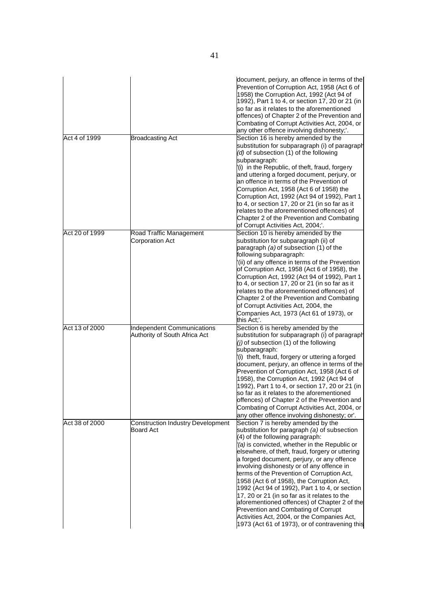|                |                                                                    | document, perjury, an offence in terms of the<br>Prevention of Corruption Act, 1958 (Act 6 of<br>1958) the Corruption Act, 1992 (Act 94 of<br>1992), Part 1 to 4, or section 17, 20 or 21 (in<br>so far as it relates to the aforementioned<br>offences) of Chapter 2 of the Prevention and<br>Combating of Corrupt Activities Act, 2004, or<br>any other offence involving dishonesty;'.                                                                                                                                                                                                                                                                                                                 |
|----------------|--------------------------------------------------------------------|-----------------------------------------------------------------------------------------------------------------------------------------------------------------------------------------------------------------------------------------------------------------------------------------------------------------------------------------------------------------------------------------------------------------------------------------------------------------------------------------------------------------------------------------------------------------------------------------------------------------------------------------------------------------------------------------------------------|
| Act 4 of 1999  | <b>Broadcasting Act</b>                                            | Section 16 is hereby amended by the<br>substitution for subparagraph (i) of paragraph<br>(d) of subsection (1) of the following<br>subparagraph:<br>(i) in the Republic, of theft, fraud, forgery<br>and uttering a forged document, perjury, or<br>an offence in terms of the Prevention of<br>Corruption Act, 1958 (Act 6 of 1958) the<br>Corruption Act, 1992 (Act 94 of 1992), Part 1<br>to 4, or section 17, 20 or 21 (in so far as it<br>relates to the aforementioned offences) of<br>Chapter 2 of the Prevention and Combating<br>of Corrupt Activities Act, 2004;'.                                                                                                                              |
| Act 20 of 1999 | Road Traffic Management<br><b>Corporation Act</b>                  | Section 10 is hereby amended by the<br>substitution for subparagraph (ii) of<br>paragraph (a) of subsection (1) of the<br>following subparagraph:<br>(ii) of any offence in terms of the Prevention<br>of Corruption Act, 1958 (Act 6 of 1958), the<br>Corruption Act, 1992 (Act 94 of 1992), Part 1<br>to 4, or section 17, 20 or 21 (in so far as it<br>relates to the aforementioned offences) of<br>Chapter 2 of the Prevention and Combating<br>of Corrupt Activities Act, 2004, the<br>Companies Act, 1973 (Act 61 of 1973), or<br>this Act;'.                                                                                                                                                      |
| Act 13 of 2000 | <b>Independent Communications</b><br>Authority of South Africa Act | Section 6 is hereby amended by the<br>substitution for subparagraph (i) of paragraph<br>$(i)$ of subsection (1) of the following<br>subparagraph:<br>(i) theft, fraud, forgery or uttering a forged<br>document, perjury, an offence in terms of the<br>Prevention of Corruption Act, 1958 (Act 6 of<br>1958), the Corruption Act, 1992 (Act 94 of<br>1992), Part 1 to 4, or section 17, 20 or 21 (in<br>so far as it relates to the aforementioned<br>offences) of Chapter 2 of the Prevention and<br>Combating of Corrupt Activities Act, 2004, or<br>any other offence involving dishonesty; or'.                                                                                                      |
| Act 38 of 2000 | <b>Construction Industry Development</b><br><b>Board Act</b>       | Section 7 is hereby amended by the<br>substitution for paragraph (a) of subsection<br>(4) of the following paragraph:<br>'(a) is convicted, whether in the Republic or<br>elsewhere, of theft, fraud, forgery or uttering<br>a forged document, perjury, or any offence<br>involving dishonesty or of any offence in<br>terms of the Prevention of Corruption Act,<br>1958 (Act 6 of 1958), the Corruption Act,<br>1992 (Act 94 of 1992), Part 1 to 4, or section<br>17, 20 or 21 (in so far as it relates to the<br>aforementioned offences) of Chapter 2 of the<br>Prevention and Combating of Corrupt<br>Activities Act, 2004, or the Companies Act,<br>1973 (Act 61 of 1973), or of contravening this |